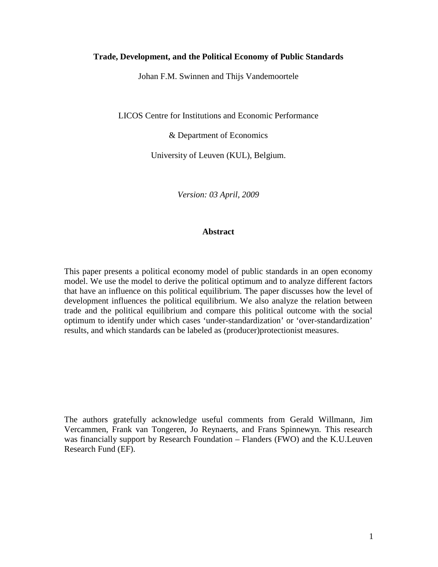#### **Trade, Development, and the Political Economy of Public Standards**

Johan F.M. Swinnen and Thijs Vandemoortele

LICOS Centre for Institutions and Economic Performance

& Department of Economics

University of Leuven (KUL), Belgium.

*Version: 03 April, 2009* 

## **Abstract**

This paper presents a political economy model of public standards in an open economy model. We use the model to derive the political optimum and to analyze different factors that have an influence on this political equilibrium. The paper discusses how the level of development influences the political equilibrium. We also analyze the relation between trade and the political equilibrium and compare this political outcome with the social optimum to identify under which cases 'under-standardization' or 'over-standardization' results, and which standards can be labeled as (producer)protectionist measures.

The authors gratefully acknowledge useful comments from Gerald Willmann, Jim Vercammen, Frank van Tongeren, Jo Reynaerts, and Frans Spinnewyn. This research was financially support by Research Foundation – Flanders (FWO) and the K.U.Leuven Research Fund (EF).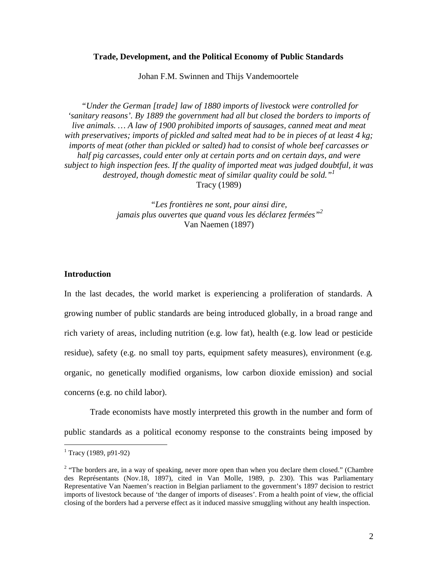#### **Trade, Development, and the Political Economy of Public Standards**

Johan F.M. Swinnen and Thijs Vandemoortele

 *"Under the German [trade] law of 1880 imports of livestock were controlled for 'sanitary reasons'. By 1889 the government had all but closed the borders to imports of live animals. … A law of 1900 prohibited imports of sausages, canned meat and meat with preservatives; imports of pickled and salted meat had to be in pieces of at least 4 kg; imports of meat (other than pickled or salted) had to consist of whole beef carcasses or half pig carcasses, could enter only at certain ports and on certain days, and were subject to high inspection fees. If the quality of imported meat was judged doubtful, it was destroyed, though domestic meat of similar quality could be sold."<sup>1</sup>* Tracy (1989)

> *"Les frontières ne sont, pour ainsi dire, jamais plus ouvertes que quand vous les déclarez fermées"<sup>2</sup>* Van Naemen (1897)

#### **Introduction**

In the last decades, the world market is experiencing a proliferation of standards. A growing number of public standards are being introduced globally, in a broad range and rich variety of areas, including nutrition (e.g. low fat), health (e.g. low lead or pesticide residue), safety (e.g. no small toy parts, equipment safety measures), environment (e.g. organic, no genetically modified organisms, low carbon dioxide emission) and social concerns (e.g. no child labor).

Trade economists have mostly interpreted this growth in the number and form of public standards as a political economy response to the constraints being imposed by

 1 Tracy (1989, p91-92)

 $2$  "The borders are, in a way of speaking, never more open than when you declare them closed." (Chambre des Représentants (Nov.18, 1897), cited in Van Molle, 1989, p. 230). This was Parliamentary Representative Van Naemen's reaction in Belgian parliament to the government's 1897 decision to restrict imports of livestock because of 'the danger of imports of diseases'. From a health point of view, the official closing of the borders had a perverse effect as it induced massive smuggling without any health inspection.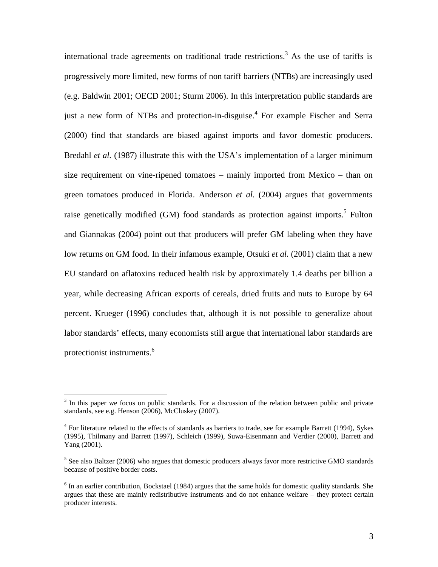international trade agreements on traditional trade restrictions.<sup>3</sup> As the use of tariffs is progressively more limited, new forms of non tariff barriers (NTBs) are increasingly used (e.g. Baldwin 2001; OECD 2001; Sturm 2006). In this interpretation public standards are just a new form of NTBs and protection-in-disguise.<sup>4</sup> For example Fischer and Serra (2000) find that standards are biased against imports and favor domestic producers. Bredahl *et al.* (1987) illustrate this with the USA's implementation of a larger minimum size requirement on vine-ripened tomatoes – mainly imported from Mexico – than on green tomatoes produced in Florida. Anderson *et al.* (2004) argues that governments raise genetically modified (GM) food standards as protection against imports.<sup>5</sup> Fulton and Giannakas (2004) point out that producers will prefer GM labeling when they have low returns on GM food. In their infamous example, Otsuki *et al.* (2001) claim that a new EU standard on aflatoxins reduced health risk by approximately 1.4 deaths per billion a year, while decreasing African exports of cereals, dried fruits and nuts to Europe by 64 percent. Krueger (1996) concludes that, although it is not possible to generalize about labor standards' effects, many economists still argue that international labor standards are protectionist instruments.<sup>6</sup>

 $\overline{a}$ 

 $3$  In this paper we focus on public standards. For a discussion of the relation between public and private standards, see e.g. Henson (2006), McCluskey (2007).

<sup>&</sup>lt;sup>4</sup> For literature related to the effects of standards as barriers to trade, see for example Barrett (1994), Sykes (1995), Thilmany and Barrett (1997), Schleich (1999), Suwa-Eisenmann and Verdier (2000), Barrett and Yang (2001).

<sup>&</sup>lt;sup>5</sup> See also Baltzer (2006) who argues that domestic producers always favor more restrictive GMO standards because of positive border costs.

<sup>&</sup>lt;sup>6</sup> In an earlier contribution, Bockstael (1984) argues that the same holds for domestic quality standards. She argues that these are mainly redistributive instruments and do not enhance welfare – they protect certain producer interests.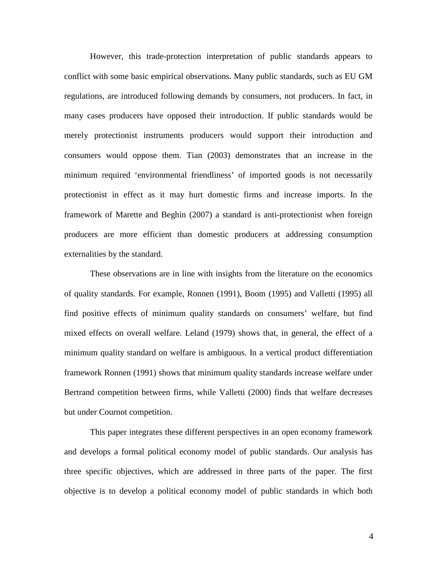However, this trade-protection interpretation of public standards appears to conflict with some basic empirical observations. Many public standards, such as EU GM regulations, are introduced following demands by consumers, not producers. In fact, in many cases producers have opposed their introduction. If public standards would be merely protectionist instruments producers would support their introduction and consumers would oppose them. Tian (2003) demonstrates that an increase in the minimum required 'environmental friendliness' of imported goods is not necessarily protectionist in effect as it may hurt domestic firms and increase imports. In the framework of Marette and Beghin (2007) a standard is anti-protectionist when foreign producers are more efficient than domestic producers at addressing consumption externalities by the standard.

These observations are in line with insights from the literature on the economics of quality standards. For example, Ronnen (1991), Boom (1995) and Valletti (1995) all find positive effects of minimum quality standards on consumers' welfare, but find mixed effects on overall welfare. Leland (1979) shows that, in general, the effect of a minimum quality standard on welfare is ambiguous. In a vertical product differentiation framework Ronnen (1991) shows that minimum quality standards increase welfare under Bertrand competition between firms, while Valletti (2000) finds that welfare decreases but under Cournot competition.

 This paper integrates these different perspectives in an open economy framework and develops a formal political economy model of public standards. Our analysis has three specific objectives, which are addressed in three parts of the paper. The first objective is to develop a political economy model of public standards in which both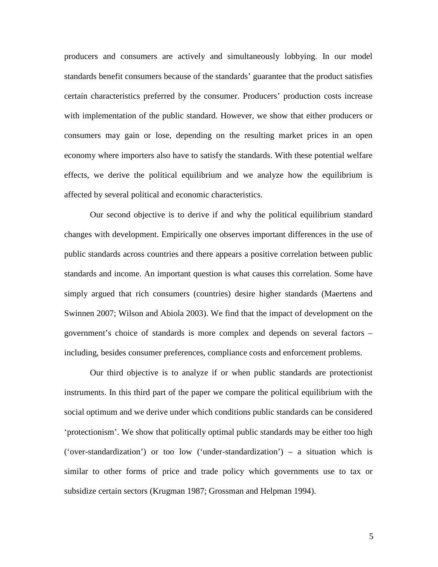producers and consumers are actively and simultaneously lobbying. In our model standards benefit consumers because of the standards' guarantee that the product satisfies certain characteristics preferred by the consumer. Producers' production costs increase with implementation of the public standard. However, we show that either producers or consumers may gain or lose, depending on the resulting market prices in an open economy where importers also have to satisfy the standards. With these potential welfare effects, we derive the political equilibrium and we analyze how the equilibrium is affected by several political and economic characteristics.

 Our second objective is to derive if and why the political equilibrium standard changes with development. Empirically one observes important differences in the use of public standards across countries and there appears a positive correlation between public standards and income. An important question is what causes this correlation. Some have simply argued that rich consumers (countries) desire higher standards (Maertens and Swinnen 2007; Wilson and Abiola 2003). We find that the impact of development on the government's choice of standards is more complex and depends on several factors – including, besides consumer preferences, compliance costs and enforcement problems.

Our third objective is to analyze if or when public standards are protectionist instruments. In this third part of the paper we compare the political equilibrium with the social optimum and we derive under which conditions public standards can be considered 'protectionism'. We show that politically optimal public standards may be either too high ('over-standardization') or too low ('under-standardization') – a situation which is similar to other forms of price and trade policy which governments use to tax or subsidize certain sectors (Krugman 1987; Grossman and Helpman 1994).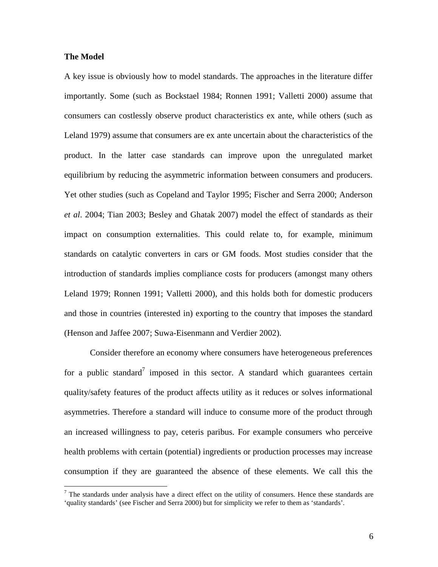#### **The Model**

 $\overline{a}$ 

A key issue is obviously how to model standards. The approaches in the literature differ importantly. Some (such as Bockstael 1984; Ronnen 1991; Valletti 2000) assume that consumers can costlessly observe product characteristics ex ante, while others (such as Leland 1979) assume that consumers are ex ante uncertain about the characteristics of the product. In the latter case standards can improve upon the unregulated market equilibrium by reducing the asymmetric information between consumers and producers. Yet other studies (such as Copeland and Taylor 1995; Fischer and Serra 2000; Anderson *et al*. 2004; Tian 2003; Besley and Ghatak 2007) model the effect of standards as their impact on consumption externalities. This could relate to, for example, minimum standards on catalytic converters in cars or GM foods. Most studies consider that the introduction of standards implies compliance costs for producers (amongst many others Leland 1979; Ronnen 1991; Valletti 2000), and this holds both for domestic producers and those in countries (interested in) exporting to the country that imposes the standard (Henson and Jaffee 2007; Suwa-Eisenmann and Verdier 2002).

Consider therefore an economy where consumers have heterogeneous preferences for a public standard<sup>7</sup> imposed in this sector. A standard which guarantees certain quality/safety features of the product affects utility as it reduces or solves informational asymmetries. Therefore a standard will induce to consume more of the product through an increased willingness to pay, ceteris paribus. For example consumers who perceive health problems with certain (potential) ingredients or production processes may increase consumption if they are guaranteed the absence of these elements. We call this the

 $<sup>7</sup>$  The standards under analysis have a direct effect on the utility of consumers. Hence these standards are</sup> 'quality standards' (see Fischer and Serra 2000) but for simplicity we refer to them as 'standards'.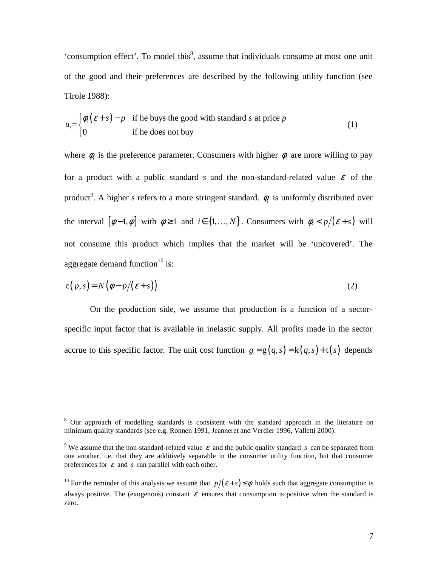'consumption effect'. To model this $<sup>8</sup>$ , assume that individuals consume at most one unit</sup> of the good and their preferences are described by the following utility function (see Tirole 1988):

$$
u_i = \begin{cases} \phi_i(\varepsilon + s) - p & \text{if he buys the good with standard } s \text{ at price } p \\ 0 & \text{if he does not buy} \end{cases}
$$
 (1)

where  $\phi_i$  is the preference parameter. Consumers with higher  $\phi_i$  are more willing to pay for a product with a public standard *s* and the non-standard-related value  $\varepsilon$  of the product<sup>9</sup> . A higher *s* refers to a more stringent standard. φ*<sup>i</sup>* is uniformly distributed over the interval  $[\phi-1, \phi]$  with  $\phi \ge 1$  and  $i \in \{1, ..., N\}$ . Consumers with  $\phi_i < p/(\varepsilon + s)$  will not consume this product which implies that the market will be 'uncovered'. The aggregate demand function $10$  is:

$$
c(p,s) = N(\phi - p/(\varepsilon + s))
$$
 (2)

On the production side, we assume that production is a function of a sectorspecific input factor that is available in inelastic supply. All profits made in the sector accrue to this specific factor. The unit cost function  $g = g(q, s) = k(q, s) + t(s)$  depends

 $\overline{a}$ 

<sup>&</sup>lt;sup>8</sup> Our approach of modelling standards is consistent with the standard approach in the literature on minimum quality standards (see e.g. Ronnen 1991, Jeanneret and Verdier 1996, Valletti 2000).

<sup>&</sup>lt;sup>9</sup> We assume that the non-standard-related value  $\varepsilon$  and the public quality standard *s* can be separated from one another, i.e. that they are additively separable in the consumer utility function, but that consumer preferences for  $\varepsilon$  and  $s$  run parallel with each other.

<sup>&</sup>lt;sup>10</sup> For the reminder of this analysis we assume that  $p/(\varepsilon + s) \le \phi$  holds such that aggregate consumption is always positive. The (exogenous) constant  $\varepsilon$  ensures that consumption is positive when the standard is zero.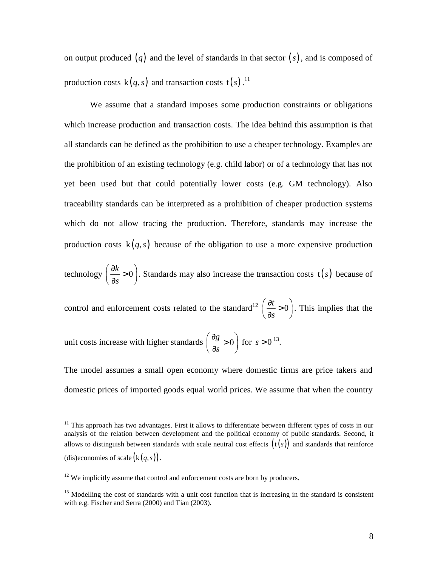on output produced (*q*) and the level of standards in that sector (*s*), and is composed of production costs  $k(q, s)$  and transaction costs  $t(s)$ .<sup>11</sup>

We assume that a standard imposes some production constraints or obligations which increase production and transaction costs. The idea behind this assumption is that all standards can be defined as the prohibition to use a cheaper technology. Examples are the prohibition of an existing technology (e.g. child labor) or of a technology that has not yet been used but that could potentially lower costs (e.g. GM technology). Also traceability standards can be interpreted as a prohibition of cheaper production systems which do not allow tracing the production. Therefore, standards may increase the production costs  $k(q, s)$  because of the obligation to use a more expensive production

technology  $\left(\frac{\partial k}{\partial r}\right) > 0$ *s*  $\left(\partial k\right)$  $\left(\frac{\partial x}{\partial s} > 0\right)$ . Standards may also increase the transaction costs  $t(s)$  because of

control and enforcement costs related to the standard<sup>12</sup>  $\left(\frac{\partial t}{\partial r}\right) > 0$ *s*  $\left(\partial t\right)$  $\left(\frac{\partial}{\partial s} > 0\right)$ . This implies that the

unit costs increase with higher standards  $\left(\frac{\partial g}{\partial s}\right) > 0$ *s*  $\left(\partial g\right)$  $\left(\frac{\partial s}{\partial s} > 0\right)$ for  $s > 0^{13}$ .

 $\overline{a}$ 

The model assumes a small open economy where domestic firms are price takers and domestic prices of imported goods equal world prices. We assume that when the country

 $11$  This approach has two advantages. First it allows to differentiate between different types of costs in our analysis of the relation between development and the political economy of public standards. Second, it allows to distinguish between standards with scale neutral cost effects  $(t(s))$  and standards that reinforce (dis)economies of scale  $(k(q, s))$ .

 $12$  We implicitly assume that control and enforcement costs are born by producers.

 $13$  Modelling the cost of standards with a unit cost function that is increasing in the standard is consistent with e.g. Fischer and Serra (2000) and Tian (2003).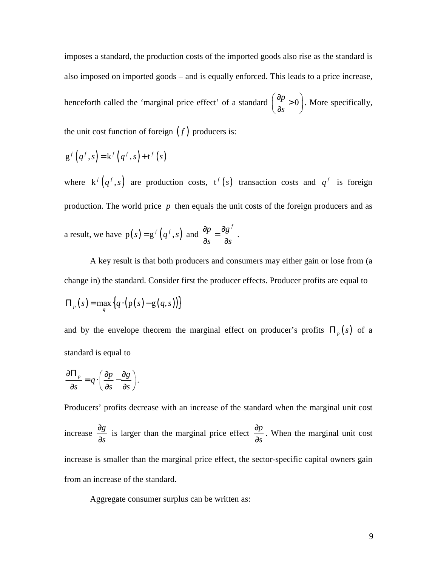imposes a standard, the production costs of the imported goods also rise as the standard is also imposed on imported goods – and is equally enforced. This leads to a price increase, henceforth called the 'marginal price effect' of a standard  $\left(\frac{\partial p}{\partial r}\right) > 0$ *s*  $\left(\partial p\right)$  $\left(\frac{\partial P}{\partial s} > 0\right)$ . More specifically, the unit cost function of foreign  $(f)$  producers is:

$$
g^{f}(q^{f}, s) = k^{f}(q^{f}, s) + t^{f}(s)
$$

where  $k^f(q^f, s)$  are production costs,  $t^f(s)$  transaction costs and  $q^f$  is foreign production. The world price *p* then equals the unit costs of the foreign producers and as a result, we have  $p(s) = g^f(q^f, s)$  and  $\frac{\partial p}{\partial s} = \frac{\partial g^f}{\partial s^f}$ *s s*  $\frac{\partial p}{\partial \theta} = \frac{\partial p}{\partial \theta}$  $\partial s$   $\partial$ .

A key result is that both producers and consumers may either gain or lose from (a change in) the standard. Consider first the producer effects. Producer profits are equal to  $\Pi_p ( s ) = \max_q \{ q \cdot ( p(s) - g(q, s) ) \}$ 

and by the envelope theorem the marginal effect on producer's profits  $\Pi_p(s)$  of a standard is equal to

$$
\frac{\partial \Pi_p}{\partial s} = q \cdot \left( \frac{\partial p}{\partial s} - \frac{\partial g}{\partial s} \right).
$$

Producers' profits decrease with an increase of the standard when the marginal unit cost increase  $\frac{\partial g}{\partial x}$ *s* ∂ ∂ is larger than the marginal price effect  $\frac{\partial p}{\partial x}$ *s* ∂ ∂ . When the marginal unit cost increase is smaller than the marginal price effect, the sector-specific capital owners gain from an increase of the standard.

Aggregate consumer surplus can be written as: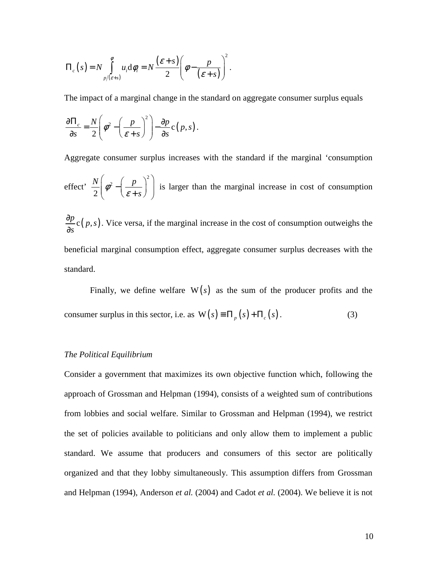$$
\Pi_c(s) = N \int\limits_{p/(\varepsilon+s)}^{\phi} u_i \mathrm{d}\phi_i = N \frac{(\varepsilon+s)}{2} \left( \phi - \frac{p}{(\varepsilon+s)} \right)^2.
$$

The impact of a marginal change in the standard on aggregate consumer surplus equals

$$
\frac{\partial \Pi_c}{\partial s} = \frac{N}{2} \left( \phi^2 - \left( \frac{p}{\varepsilon + s} \right)^2 \right) - \frac{\partial p}{\partial s} c(p, s).
$$

Aggregate consumer surplus increases with the standard if the marginal 'consumption effect' 2 2 2  $N \begin{pmatrix} 1 & p \end{pmatrix}$ *s*  $\left(\phi^2-\left(\frac{p}{\varepsilon+s}\right)^2\right)$  is larger than the marginal increase in cost of consumption  $\frac{p}{c}(p,s)$ *s* ∂ ∂ . Vice versa, if the marginal increase in the cost of consumption outweighs the beneficial marginal consumption effect, aggregate consumer surplus decreases with the

standard.

Finally, we define welfare  $W(s)$  as the sum of the producer profits and the consumer surplus in this sector, i.e. as  $W(s) = \Pi_p(s) + \Pi_c(s)$ . (3)

## *The Political Equilibrium*

Consider a government that maximizes its own objective function which, following the approach of Grossman and Helpman (1994), consists of a weighted sum of contributions from lobbies and social welfare. Similar to Grossman and Helpman (1994), we restrict the set of policies available to politicians and only allow them to implement a public standard. We assume that producers and consumers of this sector are politically organized and that they lobby simultaneously. This assumption differs from Grossman and Helpman (1994), Anderson *et al.* (2004) and Cadot *et al.* (2004). We believe it is not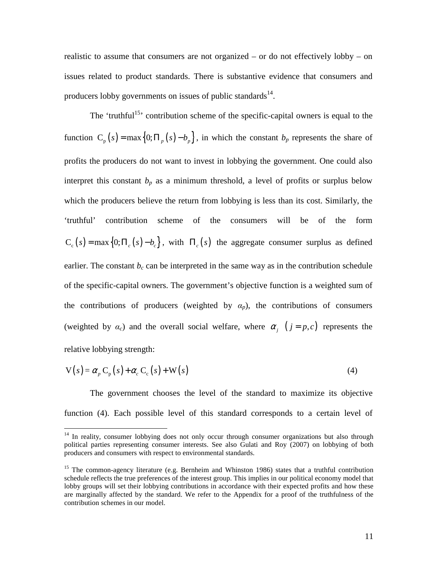realistic to assume that consumers are not organized – or do not effectively lobby – on issues related to product standards. There is substantive evidence that consumers and producers lobby governments on issues of public standards $^{14}$ .

The 'truthful<sup>15</sup>' contribution scheme of the specific-capital owners is equal to the function  $C_p(s) = \max\{0; \prod_p(s) - b_p\}$ , in which the constant  $b_p$  represents the share of profits the producers do not want to invest in lobbying the government. One could also interpret this constant  $b<sub>p</sub>$  as a minimum threshold, a level of profits or surplus below which the producers believe the return from lobbying is less than its cost. Similarly, the 'truthful' contribution scheme of the consumers will be of the form  $C_c$  (*s*) = max {0;  $\Pi_c$  (*s*) -  $b_c$ }, with  $\Pi_c$  (*s*) the aggregate consumer surplus as defined earlier. The constant  $b_c$  can be interpreted in the same way as in the contribution schedule of the specific-capital owners. The government's objective function is a weighted sum of the contributions of producers (weighted by  $\alpha_p$ ), the contributions of consumers (weighted by  $\alpha_c$ ) and the overall social welfare, where  $\alpha_i$  ( $j = p, c$ ) represents the relative lobbying strength:

$$
V(s) = \alpha_p C_p(s) + \alpha_c C_c(s) + W(s)
$$
\n(4)

The government chooses the level of the standard to maximize its objective function (4). Each possible level of this standard corresponds to a certain level of

 $\overline{a}$ 

<sup>&</sup>lt;sup>14</sup> In reality, consumer lobbying does not only occur through consumer organizations but also through political parties representing consumer interests. See also Gulati and Roy (2007) on lobbying of both producers and consumers with respect to environmental standards.

<sup>&</sup>lt;sup>15</sup> The common-agency literature (e.g. Bernheim and Whinston 1986) states that a truthful contribution schedule reflects the true preferences of the interest group. This implies in our political economy model that lobby groups will set their lobbying contributions in accordance with their expected profits and how these are marginally affected by the standard. We refer to the Appendix for a proof of the truthfulness of the contribution schemes in our model.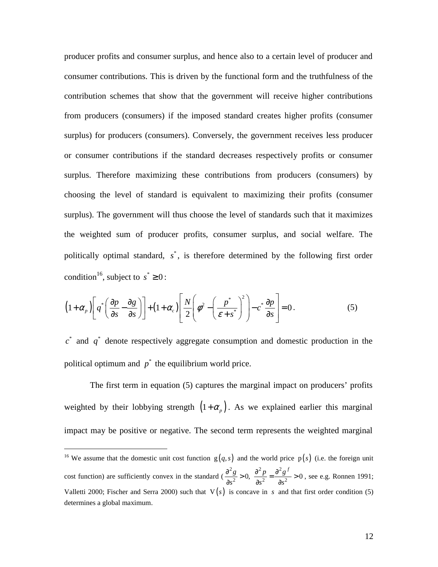producer profits and consumer surplus, and hence also to a certain level of producer and consumer contributions. This is driven by the functional form and the truthfulness of the contribution schemes that show that the government will receive higher contributions from producers (consumers) if the imposed standard creates higher profits (consumer surplus) for producers (consumers). Conversely, the government receives less producer or consumer contributions if the standard decreases respectively profits or consumer surplus. Therefore maximizing these contributions from producers (consumers) by choosing the level of standard is equivalent to maximizing their profits (consumer surplus). The government will thus choose the level of standards such that it maximizes the weighted sum of producer profits, consumer surplus, and social welfare. The politically optimal standard,  $s^*$ , is therefore determined by the following first order condition<sup>16</sup>, subject to  $s^* \geq 0$ :

$$
\left(1+\alpha_{p}\right)\left[q^{*}\left(\frac{\partial p}{\partial s}-\frac{\partial g}{\partial s}\right)\right]+\left(1+\alpha_{c}\right)\left[\frac{N}{2}\left(\phi^{2}-\left(\frac{p^{*}}{\varepsilon+s^{*}}\right)^{2}\right)-c^{*}\frac{\partial p}{\partial s}\right]=0.
$$
\n(5)

 $c^*$  and  $q^*$  denote respectively aggregate consumption and domestic production in the political optimum and  $p^*$  the equilibrium world price.

The first term in equation (5) captures the marginal impact on producers' profits weighted by their lobbying strength  $(1+\alpha_p)$ . As we explained earlier this marginal impact may be positive or negative. The second term represents the weighted marginal

 $\overline{a}$ 

<sup>&</sup>lt;sup>16</sup> We assume that the domestic unit cost function  $g(q, s)$  and the world price p(s) (i.e. the foreign unit cost function) are sufficiently convex in the standard (  $2a$   $\lambda^2$   $\lambda^2$  $\frac{3}{2} > 0$ ,  $\frac{9}{\lambda_0^2} = \frac{9}{\lambda_0^2} > 0$  $g \rightarrow \theta^2 p \theta^2 g^f$  $s^2$   $\partial s^2$   $\partial s$  $\frac{\partial^2 g}{\partial^2} > 0$ ,  $\frac{\partial^2 p}{\partial^2 g} = \frac{\partial^2 g^j}{\partial^2 g} > 0$  $\partial s^2$   $\partial s^2$   $\partial$ , see e.g. Ronnen 1991; Valletti 2000; Fischer and Serra 2000) such that  $V(s)$  is concave in *s* and that first order condition (5) determines a global maximum.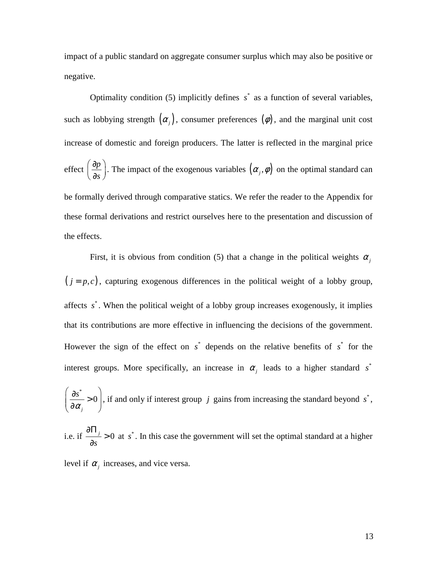impact of a public standard on aggregate consumer surplus which may also be positive or negative.

Optimality condition (5) implicitly defines  $s^*$  as a function of several variables, such as lobbying strength  $(\alpha_j)$ , consumer preferences  $(\phi)$ , and the marginal unit cost increase of domestic and foreign producers. The latter is reflected in the marginal price effect  $\frac{\partial p}{\partial x}$ *s*  $\left(\partial p\right)$  $\left(\frac{\partial p}{\partial s}\right)$ . The impact of the exogenous variables  $(\alpha_j, \phi)$  on the optimal standard can be formally derived through comparative statics. We refer the reader to the Appendix for these formal derivations and restrict ourselves here to the presentation and discussion of the effects.

First, it is obvious from condition (5) that a change in the political weights  $\alpha_i$  $(j = p, c)$ , capturing exogenous differences in the political weight of a lobby group, affects  $s^*$ . When the political weight of a lobby group increases exogenously, it implies that its contributions are more effective in influencing the decisions of the government. However the sign of the effect on  $s^*$  depends on the relative benefits of  $s^*$  for the interest groups. More specifically, an increase in  $\alpha_j$  leads to a higher standard  $s^*$ 

\* 0 *j s* α  $\left(\frac{\partial s^*}{\partial s^*} > 0\right)$  $\left(\partial\alpha_{j}\right)$ , if and only if interest group  $j$  gains from increasing the standard beyond  $s^*$ ,

i.e. if  $\frac{0.1i}{2} > 0$ *s* ∂Π > ∂ at  $s^*$ . In this case the government will set the optimal standard at a higher level if  $\alpha_j$  increases, and vice versa.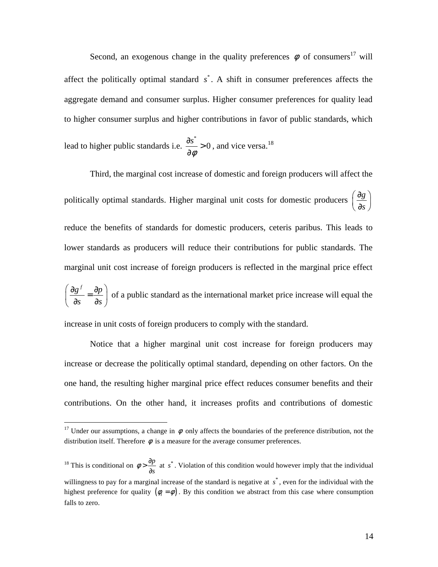Second, an exogenous change in the quality preferences  $\phi$  of consumers<sup>17</sup> will affect the politically optimal standard  $s^*$ . A shift in consumer preferences affects the aggregate demand and consumer surplus. Higher consumer preferences for quality lead to higher consumer surplus and higher contributions in favor of public standards, which

lead to higher public standards i.e. \*  $\frac{s^*}{s} > 0$ φ  $\frac{\partial s^*}{\partial s}$ ∂ , and vice versa.<sup>18</sup>

Third, the marginal cost increase of domestic and foreign producers will affect the politically optimal standards. Higher marginal unit costs for domestic producers  $\left(\frac{\partial g}{\partial x}\right)$ *s*  $\left(\partial g\right)$  $\left(\frac{\partial}{\partial s}\right)$ reduce the benefits of standards for domestic producers, ceteris paribus. This leads to lower standards as producers will reduce their contributions for public standards. The marginal unit cost increase of foreign producers is reflected in the marginal price effect  $g^f$   $\partial p$ *s s*  $\left(\frac{\partial g^f}{\partial x^f} = \frac{\partial p}{\partial x^f}\right)$  $\begin{pmatrix} 9^2 & 9^2 \end{pmatrix}$ of a public standard as the international market price increase will equal the

increase in unit costs of foreign producers to comply with the standard.

 $\overline{a}$ 

Notice that a higher marginal unit cost increase for foreign producers may increase or decrease the politically optimal standard, depending on other factors. On the one hand, the resulting higher marginal price effect reduces consumer benefits and their contributions. On the other hand, it increases profits and contributions of domestic

<sup>&</sup>lt;sup>17</sup> Under our assumptions, a change in  $\phi$  only affects the boundaries of the preference distribution, not the distribution itself. Therefore  $\phi$  is a measure for the average consumer preferences.

<sup>&</sup>lt;sup>18</sup> This is conditional on  $\phi > \frac{\partial p}{\partial s}$  at s<sup>\*</sup>. Violation of this condition would however imply that the individual willingness to pay for a marginal increase of the standard is negative at  $s^*$ , even for the individual with the highest preference for quality  $(\phi_i = \phi)$ . By this condition we abstract from this case where consumption falls to zero.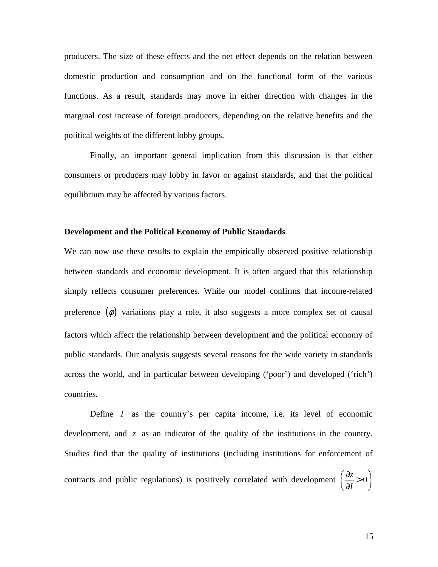producers. The size of these effects and the net effect depends on the relation between domestic production and consumption and on the functional form of the various functions. As a result, standards may move in either direction with changes in the marginal cost increase of foreign producers, depending on the relative benefits and the political weights of the different lobby groups.

Finally, an important general implication from this discussion is that either consumers or producers may lobby in favor or against standards, and that the political equilibrium may be affected by various factors.

#### **Development and the Political Economy of Public Standards**

We can now use these results to explain the empirically observed positive relationship between standards and economic development. It is often argued that this relationship simply reflects consumer preferences. While our model confirms that income-related preference  $(\phi)$  variations play a role, it also suggests a more complex set of causal factors which affect the relationship between development and the political economy of public standards. Our analysis suggests several reasons for the wide variety in standards across the world, and in particular between developing ('poor') and developed ('rich') countries.

 Define *I* as the country's per capita income, i.e. its level of economic development, and *z* as an indicator of the quality of the institutions in the country. Studies find that the quality of institutions (including institutions for enforcement of contracts and public regulations) is positively correlated with development  $\left(\frac{\partial z}{\partial x}\right) > 0$ *I*  $\left(\partial z\right)$  $\left(\frac{\partial z}{\partial I} > 0\right)$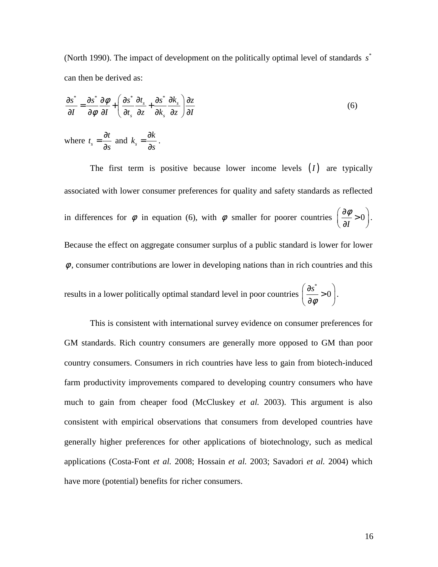(North 1990). The impact of development on the politically optimal level of standards s<sup>\*</sup> can then be derived as:

$$
\frac{\partial s^*}{\partial I} = \frac{\partial s^*}{\partial \phi} \frac{\partial \phi}{\partial I} + \left( \frac{\partial s^*}{\partial t_s} \frac{\partial t_s}{\partial z} + \frac{\partial s^*}{\partial t_s} \frac{\partial t_s}{\partial z} \right) \frac{\partial z}{\partial I}
$$
\n
$$
\text{where } t_s = \frac{\partial t}{\partial s} \text{ and } k_s = \frac{\partial k}{\partial s}.
$$
\n(6)

The first term is positive because lower income levels  $(I)$  are typically associated with lower consumer preferences for quality and safety standards as reflected in differences for  $\phi$  in equation (6), with  $\phi$  smaller for poorer countries  $\frac{\partial \phi}{\partial x} > 0$ *I*  $\left(\partial \phi_{\alpha} \right)$  $\left(\frac{\partial \varphi}{\partial I} > 0\right)$ . Because the effect on aggregate consumer surplus of a public standard is lower for lower  $\phi$ , consumer contributions are lower in developing nations than in rich countries and this

results in a lower politically optimal standard level in poor countries \*  $\frac{s^*}{s} > 0$ φ  $\left(\partial s^*\right)$  $\frac{\text{S}}{\text{S}} > 0$  $\begin{pmatrix} \partial \phi & \end{pmatrix}$ .

This is consistent with international survey evidence on consumer preferences for GM standards. Rich country consumers are generally more opposed to GM than poor country consumers. Consumers in rich countries have less to gain from biotech-induced farm productivity improvements compared to developing country consumers who have much to gain from cheaper food (McCluskey *et al.* 2003). This argument is also consistent with empirical observations that consumers from developed countries have generally higher preferences for other applications of biotechnology, such as medical applications (Costa-Font *et al.* 2008; Hossain *et al.* 2003; Savadori *et al.* 2004) which have more (potential) benefits for richer consumers.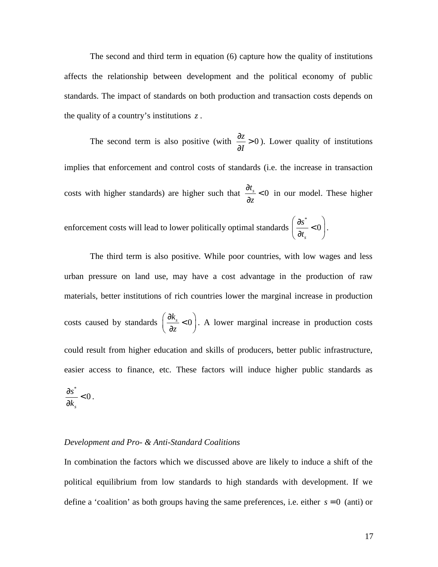The second and third term in equation (6) capture how the quality of institutions affects the relationship between development and the political economy of public standards. The impact of standards on both production and transaction costs depends on the quality of a country's institutions *z* .

The second term is also positive (with  $\frac{\partial z}{\partial x} > 0$ *I*  $rac{\partial z}{\partial x}$ ∂ ). Lower quality of institutions implies that enforcement and control costs of standards (i.e. the increase in transaction costs with higher standards) are higher such that  $\frac{\partial t_s}{\partial s} < 0$ *z*  $\frac{\partial t_s}{\partial t}$ ∂ in our model. These higher enforcement costs will lead to lower politically optimal standards \* 0 *s t*  $\left(\begin{array}{cc} \partial s^* & \ 0 & \end{array}\right)$  $\frac{30}{2}$  < 0  $\left(\partial t_s\right)$ .

*s*

The third term is also positive. While poor countries, with low wages and less urban pressure on land use, may have a cost advantage in the production of raw materials, better institutions of rich countries lower the marginal increase in production costs caused by standards  $\left(\frac{\partial k_s}{\partial s}\right) < 0$ *z*  $\left(\partial k_{s-2}\right)$  $\left(\frac{\partial R_s}{\partial z} < 0\right)$ . A lower marginal increase in production costs could result from higher education and skills of producers, better public infrastructure, easier access to finance, etc. These factors will induce higher public standards as \* 0 *s s k*  $\frac{\partial s^*}{\partial t}$ ∂ .

#### *Development and Pro- & Anti-Standard Coalitions*

In combination the factors which we discussed above are likely to induce a shift of the political equilibrium from low standards to high standards with development. If we define a 'coalition' as both groups having the same preferences, i.e. either *s* = 0 (anti) or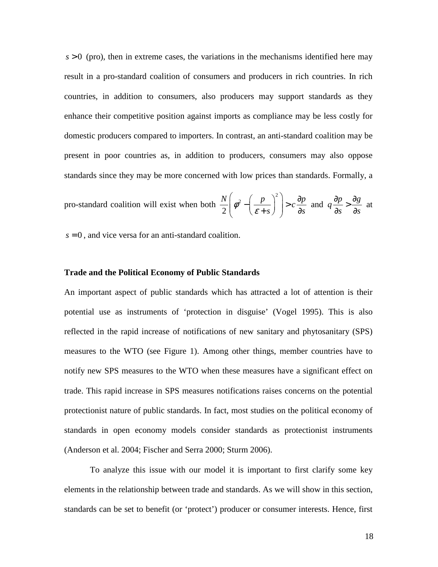$s > 0$  (pro), then in extreme cases, the variations in the mechanisms identified here may result in a pro-standard coalition of consumers and producers in rich countries. In rich countries, in addition to consumers, also producers may support standards as they enhance their competitive position against imports as compliance may be less costly for domestic producers compared to importers. In contrast, an anti-standard coalition may be present in poor countries as, in addition to producers, consumers may also oppose standards since they may be more concerned with low prices than standards. Formally, a

pro-standard coalition will exist when both 
$$
\frac{N}{2} \left( \phi^2 - \left( \frac{p}{\varepsilon + s} \right)^2 \right) > c \frac{\partial p}{\partial s}
$$
 and  $q \frac{\partial p}{\partial s} > \frac{\partial g}{\partial s}$  at

 $s = 0$ , and vice versa for an anti-standard coalition.

#### **Trade and the Political Economy of Public Standards**

An important aspect of public standards which has attracted a lot of attention is their potential use as instruments of 'protection in disguise' (Vogel 1995). This is also reflected in the rapid increase of notifications of new sanitary and phytosanitary (SPS) measures to the WTO (see Figure 1). Among other things, member countries have to notify new SPS measures to the WTO when these measures have a significant effect on trade. This rapid increase in SPS measures notifications raises concerns on the potential protectionist nature of public standards. In fact, most studies on the political economy of standards in open economy models consider standards as protectionist instruments (Anderson et al. 2004; Fischer and Serra 2000; Sturm 2006).

To analyze this issue with our model it is important to first clarify some key elements in the relationship between trade and standards. As we will show in this section, standards can be set to benefit (or 'protect') producer or consumer interests. Hence, first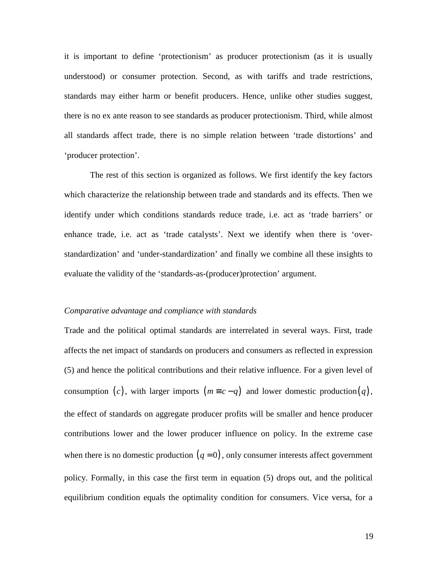it is important to define 'protectionism' as producer protectionism (as it is usually understood) or consumer protection. Second, as with tariffs and trade restrictions, standards may either harm or benefit producers. Hence, unlike other studies suggest, there is no ex ante reason to see standards as producer protectionism. Third, while almost all standards affect trade, there is no simple relation between 'trade distortions' and 'producer protection'.

The rest of this section is organized as follows. We first identify the key factors which characterize the relationship between trade and standards and its effects. Then we identify under which conditions standards reduce trade, i.e. act as 'trade barriers' or enhance trade, i.e. act as 'trade catalysts'. Next we identify when there is 'overstandardization' and 'under-standardization' and finally we combine all these insights to evaluate the validity of the 'standards-as-(producer)protection' argument.

#### *Comparative advantage and compliance with standards*

Trade and the political optimal standards are interrelated in several ways. First, trade affects the net impact of standards on producers and consumers as reflected in expression (5) and hence the political contributions and their relative influence. For a given level of consumption (*c*), with larger imports  $(m \equiv c - q)$  and lower domestic production(*q*), the effect of standards on aggregate producer profits will be smaller and hence producer contributions lower and the lower producer influence on policy. In the extreme case when there is no domestic production  $(q = 0)$ , only consumer interests affect government policy. Formally, in this case the first term in equation (5) drops out, and the political equilibrium condition equals the optimality condition for consumers. Vice versa, for a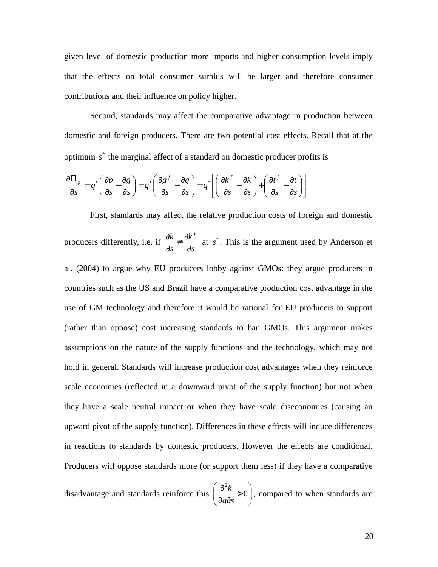given level of domestic production more imports and higher consumption levels imply that the effects on total consumer surplus will be larger and therefore consumer contributions and their influence on policy higher.

Second, standards may affect the comparative advantage in production between domestic and foreign producers. There are two potential cost effects. Recall that at the optimum  $s^*$  the marginal effect of a standard on domestic producer profits is

$$
\frac{\partial \Pi_p}{\partial s} = q^* \left( \frac{\partial p}{\partial s} - \frac{\partial g}{\partial s} \right) = q^* \left( \frac{\partial g^f}{\partial s} - \frac{\partial g}{\partial s} \right) = q^* \left[ \left( \frac{\partial k^f}{\partial s} - \frac{\partial k}{\partial s} \right) + \left( \frac{\partial t^f}{\partial s} - \frac{\partial t}{\partial s} \right) \right]
$$

First, standards may affect the relative production costs of foreign and domestic producers differently, i.e. if  $k$  ,  $\partial k^f$ *s s*  $\frac{\partial k}{\partial x} \neq \frac{\partial k}{\partial y}$  $9^2$  9 at s<sup>\*</sup>. This is the argument used by Anderson et al. (2004) to argue why EU producers lobby against GMOs: they argue producers in countries such as the US and Brazil have a comparative production cost advantage in the use of GM technology and therefore it would be rational for EU producers to support (rather than oppose) cost increasing standards to ban GMOs. This argument makes assumptions on the nature of the supply functions and the technology, which may not hold in general. Standards will increase production cost advantages when they reinforce scale economies (reflected in a downward pivot of the supply function) but not when they have a scale neutral impact or when they have scale diseconomies (causing an upward pivot of the supply function). Differences in these effects will induce differences in reactions to standards by domestic producers. However the effects are conditional. Producers will oppose standards more (or support them less) if they have a comparative

disadvantage and standards reinforce this 2  $\frac{k}{2}$  > 0 *q s*  $\left(\begin{array}{c} \partial^2 k & 0 \end{array}\right)$  $\frac{0}{2}$ >0  $\left(\partial q\partial s\right)$ , compared to when standards are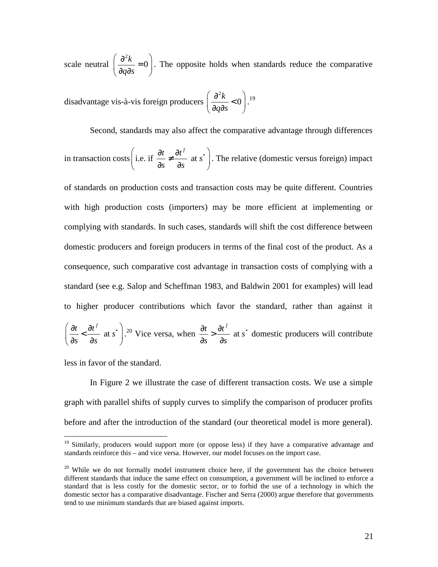scale neutral 2  $\frac{k}{2} = 0$ *q s*  $\left(\begin{array}{cc} \partial^2 k & 0 \end{array}\right)$  $\frac{6 \pi}{2} = 0$  $\left(\partial q\partial s\right)$ . The opposite holds when standards reduce the comparative

disadvantage vis-à-vis foreign producers 2  $\frac{k}{2}$  < 0 *q s*  $\left(\begin{array}{cc} \partial^2 k & 0 \end{array}\right)$  $\frac{0}{2}$  < 0  $\left(\partial q\partial s\right)$ . 19

Second, standards may also affect the comparative advantage through differences

in transaction costs 
$$
\left(\text{i.e. if } \frac{\partial t}{\partial s} \neq \frac{\partial t^f}{\partial s} \text{ at } s^*\right)
$$
. The relative (domestic versus foreign) impact

of standards on production costs and transaction costs may be quite different. Countries with high production costs (importers) may be more efficient at implementing or complying with standards. In such cases, standards will shift the cost difference between domestic producers and foreign producers in terms of the final cost of the product. As a consequence, such comparative cost advantage in transaction costs of complying with a standard (see e.g. Salop and Scheffman 1983, and Baldwin 2001 for examples) will lead to higher producer contributions which favor the standard, rather than against it

$$
\left(\frac{\partial t}{\partial s} < \frac{\partial t^f}{\partial s} \text{ at } s^*\right)
$$
.<sup>20</sup> Vice versa, when  $\frac{\partial t}{\partial s} > \frac{\partial t^f}{\partial s}$  at  $s^*$  domestic producers will contribute

less in favor of the standard.

 $\overline{a}$ 

In Figure 2 we illustrate the case of different transaction costs. We use a simple graph with parallel shifts of supply curves to simplify the comparison of producer profits before and after the introduction of the standard (our theoretical model is more general).

<sup>&</sup>lt;sup>19</sup> Similarly, producers would support more (or oppose less) if they have a comparative advantage and standards reinforce this – and vice versa. However, our model focuses on the import case.

 $20$  While we do not formally model instrument choice here, if the government has the choice between different standards that induce the same effect on consumption, a government will be inclined to enforce a standard that is less costly for the domestic sector, or to forbid the use of a technology in which the domestic sector has a comparative disadvantage. Fischer and Serra (2000) argue therefore that governments tend to use minimum standards that are biased against imports.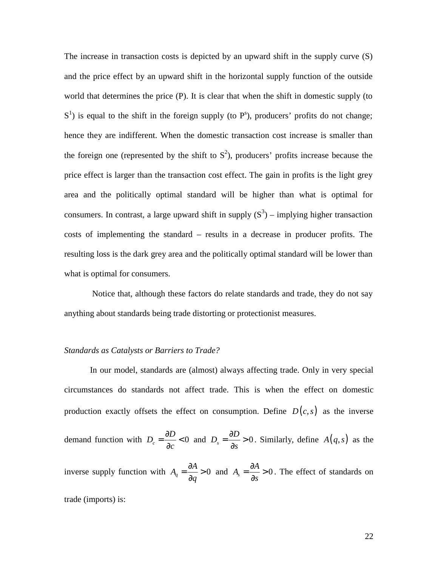The increase in transaction costs is depicted by an upward shift in the supply curve (S) and the price effect by an upward shift in the horizontal supply function of the outside world that determines the price (P). It is clear that when the shift in domestic supply (to  $S<sup>1</sup>$ ) is equal to the shift in the foreign supply (to  $P<sup>s</sup>$ ), producers' profits do not change; hence they are indifferent. When the domestic transaction cost increase is smaller than the foreign one (represented by the shift to  $S^2$ ), producers' profits increase because the price effect is larger than the transaction cost effect. The gain in profits is the light grey area and the politically optimal standard will be higher than what is optimal for consumers. In contrast, a large upward shift in supply  $(S^3)$  – implying higher transaction costs of implementing the standard – results in a decrease in producer profits. The resulting loss is the dark grey area and the politically optimal standard will be lower than what is optimal for consumers.

 Notice that, although these factors do relate standards and trade, they do not say anything about standards being trade distorting or protectionist measures.

#### *Standards as Catalysts or Barriers to Trade?*

In our model, standards are (almost) always affecting trade. Only in very special circumstances do standards not affect trade. This is when the effect on domestic production exactly offsets the effect on consumption. Define  $D(c, s)$  as the inverse demand function with  $D_c = \frac{\partial D}{\partial c} < 0$ *c*  $=\frac{\partial D}{\partial \phi}<$  $\frac{\partial D}{\partial c}$  < 0 and  $D_s = \frac{\partial D}{\partial s} > 0$ *s*  $=\frac{\partial D}{\partial \phi}$ ∂ . Similarly, define  $A(q, s)$  as the inverse supply function with  $A_q = \frac{\partial A}{\partial q} > 0$ *q*  $=\frac{\partial A}{\partial t}$  $\frac{\partial A}{\partial q} > 0$  and  $A_s = \frac{\partial A}{\partial s} > 0$ *s*  $=\frac{\partial A}{\partial t}$ ∂ . The effect of standards on trade (imports) is: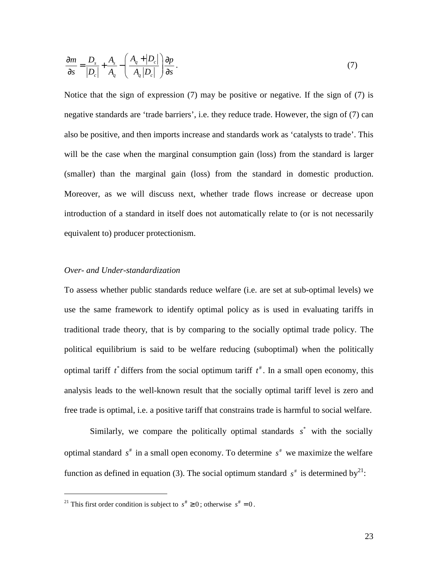$$
\frac{\partial m}{\partial s} = \frac{D_s}{|D_c|} + \frac{A_s}{A_q} - \left(\frac{A_q + |D_c|}{A_q |D_c|}\right) \frac{\partial p}{\partial s}.
$$
\n<sup>(7)</sup>

Notice that the sign of expression (7) may be positive or negative. If the sign of (7) is negative standards are 'trade barriers', i.e. they reduce trade. However, the sign of (7) can also be positive, and then imports increase and standards work as 'catalysts to trade'. This will be the case when the marginal consumption gain (loss) from the standard is larger (smaller) than the marginal gain (loss) from the standard in domestic production. Moreover, as we will discuss next, whether trade flows increase or decrease upon introduction of a standard in itself does not automatically relate to (or is not necessarily equivalent to) producer protectionism.

#### *Over- and Under-standardization*

To assess whether public standards reduce welfare (i.e. are set at sub-optimal levels) we use the same framework to identify optimal policy as is used in evaluating tariffs in traditional trade theory, that is by comparing to the socially optimal trade policy. The political equilibrium is said to be welfare reducing (suboptimal) when the politically optimal tariff  $t^*$  differs from the social optimum tariff  $t^*$ . In a small open economy, this analysis leads to the well-known result that the socially optimal tariff level is zero and free trade is optimal, i.e. a positive tariff that constrains trade is harmful to social welfare.

Similarly, we compare the politically optimal standards  $s^*$  with the socially optimal standard  $s^*$  in a small open economy. To determine  $s^*$  we maximize the welfare function as defined in equation (3). The social optimum standard  $s^*$  is determined by<sup>21</sup>:

 $\overline{a}$ 

<sup>&</sup>lt;sup>21</sup> This first order condition is subject to  $s^* \ge 0$ ; otherwise  $s^* = 0$ .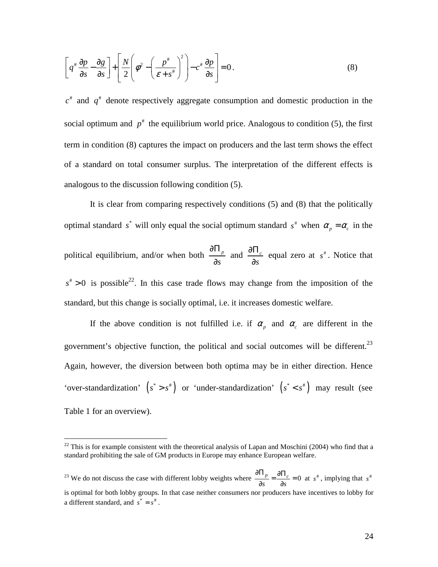$$
\left[q^* \frac{\partial p}{\partial s} - \frac{\partial g}{\partial s}\right] + \left[\frac{N}{2}\left(\phi^2 - \left(\frac{p^*}{\varepsilon + s^*}\right)^2\right) - c^* \frac{\partial p}{\partial s}\right] = 0.
$$
\n(8)

 $c^*$  and  $q^*$  denote respectively aggregate consumption and domestic production in the social optimum and  $p^*$  the equilibrium world price. Analogous to condition (5), the first term in condition (8) captures the impact on producers and the last term shows the effect of a standard on total consumer surplus. The interpretation of the different effects is analogous to the discussion following condition (5).

It is clear from comparing respectively conditions (5) and (8) that the politically optimal standard  $s^*$  will only equal the social optimum standard  $s^*$  when  $\alpha_p = \alpha_c$  in the political equilibrium, and/or when both  $\frac{0.11}{2}$ *s* ∂Π ∂ and  $\frac{0.11}{2}$ *s* ∂Π ∂ equal zero at  $s^*$ . Notice that  $s^* > 0$  is possible<sup>22</sup>. In this case trade flows may change from the imposition of the standard, but this change is socially optimal, i.e. it increases domestic welfare.

If the above condition is not fulfilled i.e. if  $\alpha_p$  and  $\alpha_c$  are different in the government's objective function, the political and social outcomes will be different.<sup>23</sup> Again, however, the diversion between both optima may be in either direction. Hence 'over-standardization'  $(s^* > s^*)$  or 'under-standardization'  $(s^* < s^*)$  may result (see Table 1 for an overview).

 $\overline{a}$ 

<sup>23</sup> We do not discuss the case with different lobby weights where  $\frac{0.1 p}{2} = \frac{0.01 c}{2} = 0$ *s s*  $\frac{\partial \Pi_p}{\partial s} = \frac{\partial \Pi_c}{\partial s} = 0$  at  $s^*$ , implying that  $s^*$ is optimal for both lobby groups. In that case neither consumers nor producers have incentives to lobby for a different standard, and  $s^* = s^*$ .

 $2<sup>22</sup>$  This is for example consistent with the theoretical analysis of Lapan and Moschini (2004) who find that a standard prohibiting the sale of GM products in Europe may enhance European welfare.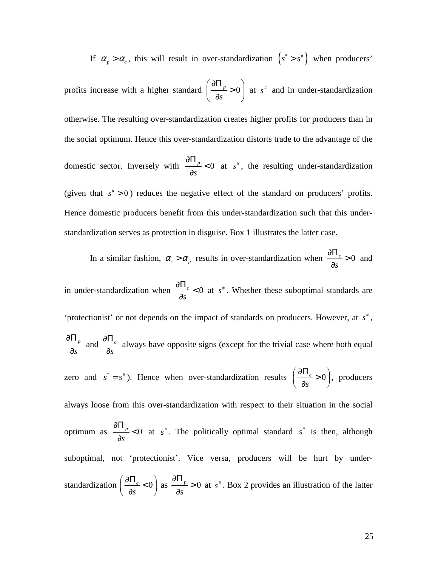If  $\alpha_p > \alpha_c$ , this will result in over-standardization  $(s^* > s^*)$  when producers'

profits increase with a higher standard  $\frac{0.11_p}{2} > 0$ *s*  $\left(\begin{matrix} \partial \Pi_n & \overline{\Omega} \end{matrix}\right)$  $\frac{p}{2} > 0$  $\begin{pmatrix} \partial s & \end{pmatrix}$ at  $s^*$  and in under-standardization otherwise. The resulting over-standardization creates higher profits for producers than in the social optimum. Hence this over-standardization distorts trade to the advantage of the domestic sector. Inversely with  $\frac{0.11_p}{2} < 0$ *s* ∂Π  $\prec$ ∂ at  $s^*$ , the resulting under-standardization (given that  $s^* > 0$ ) reduces the negative effect of the standard on producers' profits. Hence domestic producers benefit from this under-standardization such that this understandardization serves as protection in disguise. Box 1 illustrates the latter case.

In a similar fashion,  $\alpha_c > \alpha_p$  results in over-standardization when  $\frac{\partial \mathbf{H}_c}{\partial z} > 0$ *s*  $\frac{\partial \Pi_c}{\partial \sigma}$ ∂ and

in under-standardization when  $\frac{0.17}{2} < 0$ *s*  $\frac{\partial \Pi_c}{\partial \tau}<$ ∂ at  $s^*$ . Whether these suboptimal standards are 'protectionist' or not depends on the impact of standards on producers. However, at  $s^*$ , *p s* ∂Π ∂ and  $\frac{0.11}{2}$ *s* ∂Π ∂ always have opposite signs (except for the trivial case where both equal zero and  $s^* = s^*$ ). Hence when over-standardization results  $\left| \frac{\partial \mathbf{H}_c}{\partial s} \right| > 0$  $\left(\frac{\partial \Pi_c}{\partial s} > 0\right)$ , producers always loose from this over-standardization with respect to their situation in the social optimum as  $\frac{0.11_p}{2} < 0$ *s* ∂Π  $\lt$ ∂ at  $s^*$ . The politically optimal standard  $s^*$  is then, although suboptimal, not 'protectionist'. Vice versa, producers will be hurt by understandardization  $\frac{0.11}{2} < 0$  $\left(\frac{\partial \Pi_c}{\partial s} < 0\right)$ as  $\frac{0.01_p}{2} > 0$ *s* ∂Π > ∂ at  $s^*$ . Box 2 provides an illustration of the latter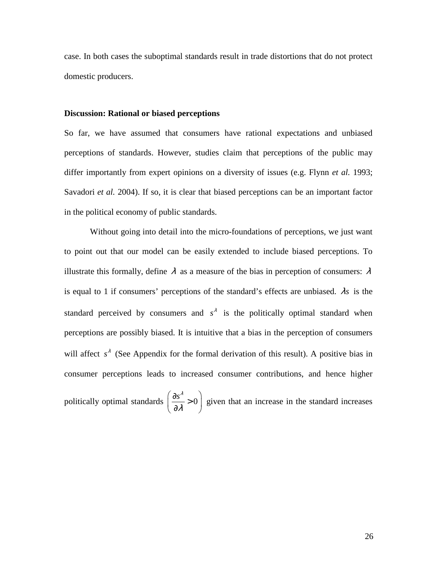case. In both cases the suboptimal standards result in trade distortions that do not protect domestic producers.

#### **Discussion: Rational or biased perceptions**

So far, we have assumed that consumers have rational expectations and unbiased perceptions of standards. However, studies claim that perceptions of the public may differ importantly from expert opinions on a diversity of issues (e.g. Flynn *et al.* 1993; Savadori *et al.* 2004). If so, it is clear that biased perceptions can be an important factor in the political economy of public standards.

Without going into detail into the micro-foundations of perceptions, we just want to point out that our model can be easily extended to include biased perceptions. To illustrate this formally, define  $\lambda$  as a measure of the bias in perception of consumers:  $\lambda$ is equal to 1 if consumers' perceptions of the standard's effects are unbiased. λ*s* is the standard perceived by consumers and  $s^{\lambda}$  is the politically optimal standard when perceptions are possibly biased. It is intuitive that a bias in the perception of consumers will affect  $s^{\lambda}$  (See Appendix for the formal derivation of this result). A positive bias in consumer perceptions leads to increased consumer contributions, and hence higher

politically optimal standards  $\left(\frac{\partial s^{\lambda}}{\partial \lambda}\right) > 0$ λ  $\left(\partial s^{\lambda} \cdot \right)$  $\frac{35}{21} > 0$  $\left(\begin{array}{cc} \partial \lambda & \end{array}\right)$ given that an increase in the standard increases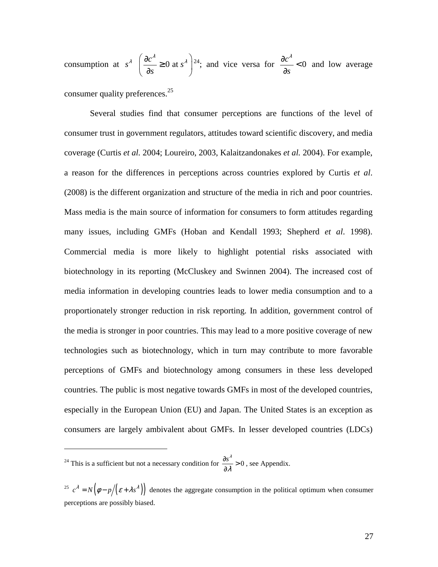consumption at  $s^{\lambda}$   $\left( \frac{\partial c^{\lambda}}{\partial s} \geq 0 \right)$  at *s s*  $\left(\frac{\partial c^{\lambda}}{\partial \rho_{\lambda}}\right)$  $\frac{\alpha}{2} \geq 0$  at  $s^4$  $\begin{pmatrix} \frac{\partial s}{\partial s} & \frac{\partial s}{\partial s} \end{pmatrix}$ <sup>24</sup>; and vice versa for  $\frac{\partial c^{\lambda}}{\partial r}$  < 0 *s*  $\frac{\partial c^{\lambda}}{\partial \lambda}<$ ∂ and low average consumer quality preferences.<sup>25</sup>

Several studies find that consumer perceptions are functions of the level of consumer trust in government regulators, attitudes toward scientific discovery, and media coverage (Curtis *et al.* 2004; Loureiro, 2003, Kalaitzandonakes *et al.* 2004). For example, a reason for the differences in perceptions across countries explored by Curtis *et al*. (2008) is the different organization and structure of the media in rich and poor countries. Mass media is the main source of information for consumers to form attitudes regarding many issues, including GMFs (Hoban and Kendall 1993; Shepherd *et al*. 1998). Commercial media is more likely to highlight potential risks associated with biotechnology in its reporting (McCluskey and Swinnen 2004). The increased cost of media information in developing countries leads to lower media consumption and to a proportionately stronger reduction in risk reporting. In addition, government control of the media is stronger in poor countries. This may lead to a more positive coverage of new technologies such as biotechnology, which in turn may contribute to more favorable perceptions of GMFs and biotechnology among consumers in these less developed countries. The public is most negative towards GMFs in most of the developed countries, especially in the European Union (EU) and Japan. The United States is an exception as consumers are largely ambivalent about GMFs. In lesser developed countries (LDCs)

<sup>24</sup> This is a sufficient but not a necessary condition for  $\frac{\partial s^{\lambda}}{\partial \lambda} > 0$ λ  $\frac{\partial s^{\lambda}}{\partial \lambda} > 0$ , see Appendix.

 $\overline{a}$ 

<sup>&</sup>lt;sup>25</sup>  $c^{\lambda} = N(\phi - p/(\varepsilon + \lambda s^{\lambda}))$  denotes the aggregate consumption in the political optimum when consumer perceptions are possibly biased.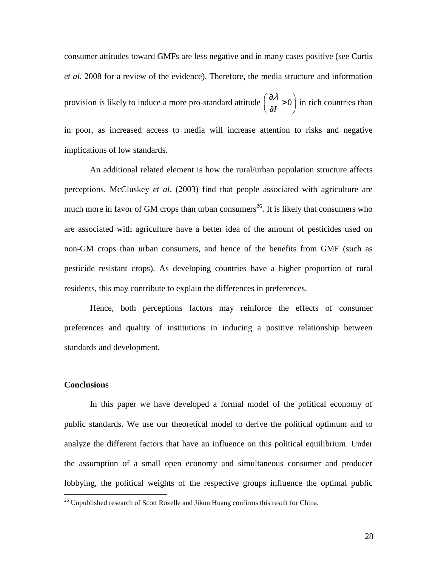consumer attitudes toward GMFs are less negative and in many cases positive (see Curtis *et al.* 2008 for a review of the evidence). Therefore, the media structure and information provision is likely to induce a more pro-standard attitude  $\frac{\partial u}{\partial x} > 0$ *I*  $(\partial \lambda)$  $\left(\frac{\partial h}{\partial I}\right) > 0$  in rich countries than in poor, as increased access to media will increase attention to risks and negative implications of low standards.

An additional related element is how the rural/urban population structure affects perceptions. McCluskey *et al*. (2003) find that people associated with agriculture are much more in favor of GM crops than urban consumers<sup>26</sup>. It is likely that consumers who are associated with agriculture have a better idea of the amount of pesticides used on non-GM crops than urban consumers, and hence of the benefits from GMF (such as pesticide resistant crops). As developing countries have a higher proportion of rural residents, this may contribute to explain the differences in preferences.

Hence, both perceptions factors may reinforce the effects of consumer preferences and quality of institutions in inducing a positive relationship between standards and development.

#### **Conclusions**

 $\overline{a}$ 

In this paper we have developed a formal model of the political economy of public standards. We use our theoretical model to derive the political optimum and to analyze the different factors that have an influence on this political equilibrium. Under the assumption of a small open economy and simultaneous consumer and producer lobbying, the political weights of the respective groups influence the optimal public

 $^{26}$  Unpublished research of Scott Rozelle and Jikun Huang confirms this result for China.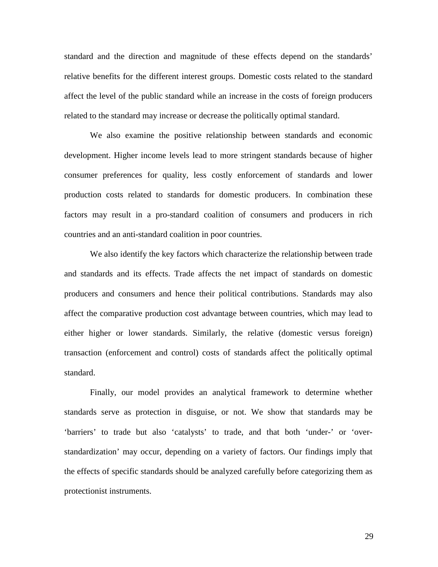standard and the direction and magnitude of these effects depend on the standards' relative benefits for the different interest groups. Domestic costs related to the standard affect the level of the public standard while an increase in the costs of foreign producers related to the standard may increase or decrease the politically optimal standard.

We also examine the positive relationship between standards and economic development. Higher income levels lead to more stringent standards because of higher consumer preferences for quality, less costly enforcement of standards and lower production costs related to standards for domestic producers. In combination these factors may result in a pro-standard coalition of consumers and producers in rich countries and an anti-standard coalition in poor countries.

We also identify the key factors which characterize the relationship between trade and standards and its effects. Trade affects the net impact of standards on domestic producers and consumers and hence their political contributions. Standards may also affect the comparative production cost advantage between countries, which may lead to either higher or lower standards. Similarly, the relative (domestic versus foreign) transaction (enforcement and control) costs of standards affect the politically optimal standard.

Finally, our model provides an analytical framework to determine whether standards serve as protection in disguise, or not. We show that standards may be 'barriers' to trade but also 'catalysts' to trade, and that both 'under-' or 'overstandardization' may occur, depending on a variety of factors. Our findings imply that the effects of specific standards should be analyzed carefully before categorizing them as protectionist instruments.

29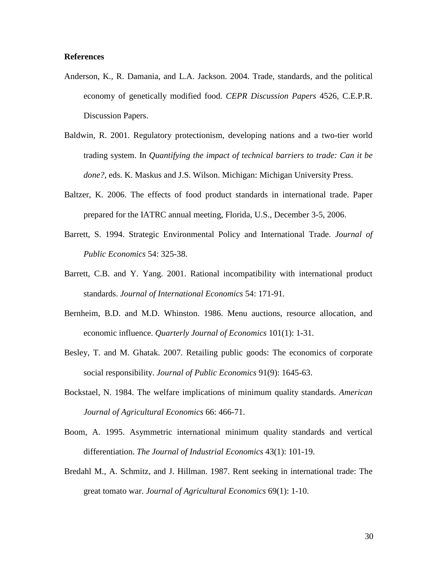### **References**

- Anderson, K., R. Damania, and L.A. Jackson. 2004. Trade, standards, and the political economy of genetically modified food. *CEPR Discussion Papers* 4526, C.E.P.R. Discussion Papers.
- Baldwin, R. 2001. Regulatory protectionism, developing nations and a two-tier world trading system. In *Quantifying the impact of technical barriers to trade: Can it be done?*, eds. K. Maskus and J.S. Wilson. Michigan: Michigan University Press.
- Baltzer, K. 2006. The effects of food product standards in international trade. Paper prepared for the IATRC annual meeting, Florida, U.S., December 3-5, 2006.
- Barrett, S. 1994. Strategic Environmental Policy and International Trade. *Journal of Public Economics* 54: 325-38.
- Barrett, C.B. and Y. Yang. 2001. Rational incompatibility with international product standards. *Journal of International Economics* 54: 171-91.
- Bernheim, B.D. and M.D. Whinston. 1986. Menu auctions, resource allocation, and economic influence. *Quarterly Journal of Economics* 101(1): 1-31.
- Besley, T. and M. Ghatak. 2007. Retailing public goods: The economics of corporate social responsibility. *Journal of Public Economics* 91(9): 1645-63.
- Bockstael, N. 1984. The welfare implications of minimum quality standards. *American Journal of Agricultural Economics* 66: 466-71.
- Boom, A. 1995. Asymmetric international minimum quality standards and vertical differentiation. *The Journal of Industrial Economics* 43(1): 101-19.
- Bredahl M., A. Schmitz, and J. Hillman. 1987. Rent seeking in international trade: The great tomato war. *Journal of Agricultural Economics* 69(1): 1-10.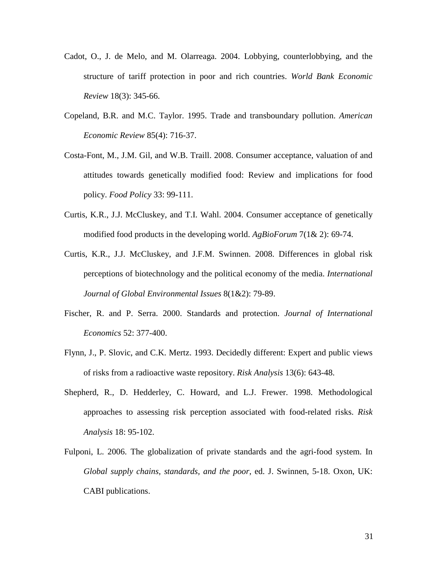- Cadot, O., J. de Melo, and M. Olarreaga. 2004. Lobbying, counterlobbying, and the structure of tariff protection in poor and rich countries. *World Bank Economic Review* 18(3): 345-66.
- Copeland, B.R. and M.C. Taylor. 1995. Trade and transboundary pollution. *American Economic Review* 85(4): 716-37.
- Costa-Font, M., J.M. Gil, and W.B. Traill. 2008. Consumer acceptance, valuation of and attitudes towards genetically modified food: Review and implications for food policy. *Food Policy* 33: 99-111.
- Curtis, K.R., J.J. McCluskey, and T.I. Wahl. 2004. Consumer acceptance of genetically modified food products in the developing world. *AgBioForum* 7(1& 2): 69-74.
- Curtis, K.R., J.J. McCluskey, and J.F.M. Swinnen. 2008. Differences in global risk perceptions of biotechnology and the political economy of the media. *International Journal of Global Environmental Issues* 8(1&2): 79-89.
- Fischer, R. and P. Serra. 2000. Standards and protection. *Journal of International Economics* 52: 377-400.
- Flynn, J., P. Slovic, and C.K. Mertz. 1993. Decidedly different: Expert and public views of risks from a radioactive waste repository. *Risk Analysis* 13(6): 643-48.
- Shepherd, R., D. Hedderley, C. Howard, and L.J. Frewer. 1998. Methodological approaches to assessing risk perception associated with food-related risks. *Risk Analysis* 18: 95-102.
- Fulponi, L. 2006. The globalization of private standards and the agri-food system. In *Global supply chains, standards, and the poor*, ed. J. Swinnen, 5-18. Oxon, UK: CABI publications.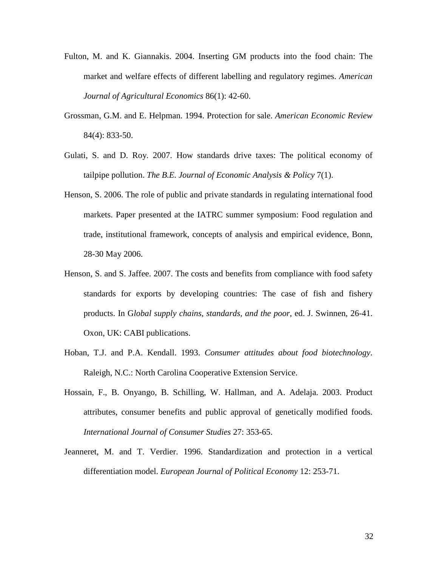- Fulton, M. and K. Giannakis. 2004. Inserting GM products into the food chain: The market and welfare effects of different labelling and regulatory regimes. *American Journal of Agricultural Economics* 86(1): 42-60.
- Grossman, G.M. and E. Helpman. 1994. Protection for sale. *American Economic Review* 84(4): 833-50.
- Gulati, S. and D. Roy. 2007. How standards drive taxes: The political economy of tailpipe pollution. *The B.E. Journal of Economic Analysis & Policy* 7(1).
- Henson, S. 2006. The role of public and private standards in regulating international food markets. Paper presented at the IATRC summer symposium: Food regulation and trade, institutional framework, concepts of analysis and empirical evidence, Bonn, 28-30 May 2006.
- Henson, S. and S. Jaffee. 2007. The costs and benefits from compliance with food safety standards for exports by developing countries: The case of fish and fishery products. In G*lobal supply chains, standards, and the poor*, ed. J. Swinnen, 26-41. Oxon, UK: CABI publications.
- Hoban, T.J. and P.A. Kendall. 1993. *Consumer attitudes about food biotechnology*. Raleigh, N.C.: North Carolina Cooperative Extension Service.
- Hossain, F., B. Onyango, B. Schilling, W. Hallman, and A. Adelaja. 2003. Product attributes, consumer benefits and public approval of genetically modified foods. *International Journal of Consumer Studies* 27: 353-65.
- Jeanneret, M. and T. Verdier. 1996. Standardization and protection in a vertical differentiation model. *European Journal of Political Economy* 12: 253-71.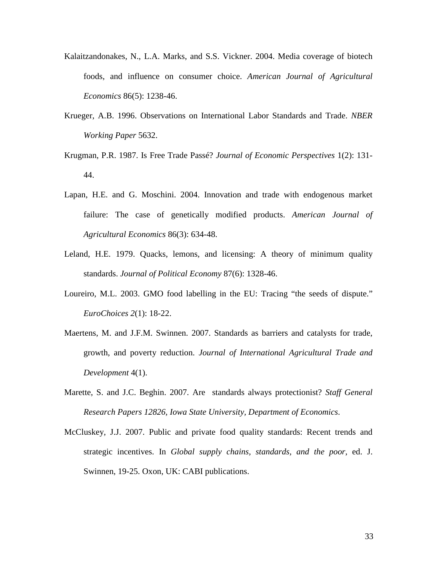- Kalaitzandonakes, N., L.A. Marks, and S.S. Vickner. 2004. Media coverage of biotech foods, and influence on consumer choice. *American Journal of Agricultural Economics* 86(5): 1238-46.
- Krueger, A.B. 1996. Observations on International Labor Standards and Trade. *NBER Working Paper* 5632.
- Krugman, P.R. 1987. Is Free Trade Passé? *Journal of Economic Perspectives* 1(2): 131- 44.
- Lapan, H.E. and G. Moschini. 2004. Innovation and trade with endogenous market failure: The case of genetically modified products. *American Journal of Agricultural Economics* 86(3): 634-48.
- Leland, H.E. 1979. Quacks, lemons, and licensing: A theory of minimum quality standards. *Journal of Political Economy* 87(6): 1328-46.
- Loureiro, M.L. 2003. GMO food labelling in the EU: Tracing "the seeds of dispute." *EuroChoices 2*(1): 18-22.
- Maertens, M. and J.F.M. Swinnen. 2007. Standards as barriers and catalysts for trade, growth, and poverty reduction. *Journal of International Agricultural Trade and Development* 4(1).
- Marette, S. and J.C. Beghin. 2007. Are standards always protectionist? *Staff General Research Papers 12826, Iowa State University, Department of Economics*.
- McCluskey, J.J. 2007. Public and private food quality standards: Recent trends and strategic incentives. In *Global supply chains, standards, and the poor*, ed. J. Swinnen, 19-25. Oxon, UK: CABI publications.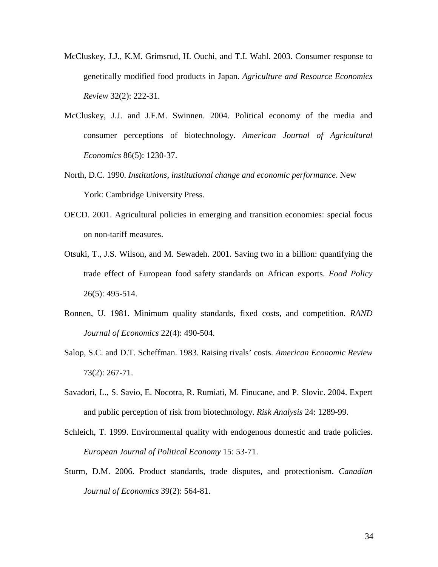- McCluskey, J.J., K.M. Grimsrud, H. Ouchi, and T.I. Wahl. 2003. Consumer response to genetically modified food products in Japan. *Agriculture and Resource Economics Review* 32(2): 222-31.
- McCluskey, J.J. and J.F.M. Swinnen. 2004. Political economy of the media and consumer perceptions of biotechnology. *American Journal of Agricultural Economics* 86(5): 1230-37.
- North, D.C. 1990. *Institutions, institutional change and economic performance*. New York: Cambridge University Press.
- OECD. 2001. Agricultural policies in emerging and transition economies: special focus on non-tariff measures.
- Otsuki, T., J.S. Wilson, and M. Sewadeh. 2001. Saving two in a billion: quantifying the trade effect of European food safety standards on African exports. *Food Policy* 26(5): 495-514.
- Ronnen, U. 1981. Minimum quality standards, fixed costs, and competition. *RAND Journal of Economics* 22(4): 490-504.
- Salop, S.C. and D.T. Scheffman. 1983. Raising rivals' costs. *American Economic Review*  73(2): 267-71.
- Savadori, L., S. Savio, E. Nocotra, R. Rumiati, M. Finucane, and P. Slovic. 2004. Expert and public perception of risk from biotechnology. *Risk Analysis* 24: 1289-99.
- Schleich, T. 1999. Environmental quality with endogenous domestic and trade policies. *European Journal of Political Economy* 15: 53-71.
- Sturm, D.M. 2006. Product standards, trade disputes, and protectionism. *Canadian Journal of Economics* 39(2): 564-81.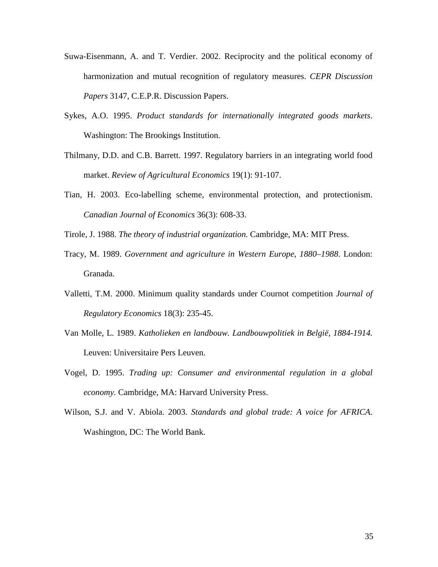- Suwa-Eisenmann, A. and T. Verdier. 2002. Reciprocity and the political economy of harmonization and mutual recognition of regulatory measures. *CEPR Discussion Papers* 3147, C.E.P.R. Discussion Papers.
- Sykes, A.O. 1995. *Product standards for internationally integrated goods markets*. Washington: The Brookings Institution.
- Thilmany, D.D. and C.B. Barrett. 1997. Regulatory barriers in an integrating world food market. *Review of Agricultural Economics* 19(1): 91-107.
- Tian, H. 2003. Eco-labelling scheme, environmental protection, and protectionism. *Canadian Journal of Economics* 36(3): 608-33.
- Tirole, J. 1988. *The theory of industrial organization.* Cambridge, MA: MIT Press.
- Tracy, M. 1989. *Government and agriculture in Western Europe, 1880–1988*. London: Granada.
- Valletti, T.M. 2000. Minimum quality standards under Cournot competition *Journal of Regulatory Economics* 18(3): 235-45.
- Van Molle, L. 1989. *Katholieken en landbouw. Landbouwpolitiek in België, 1884-1914.* Leuven: Universitaire Pers Leuven.
- Vogel, D. 1995. *Trading up: Consumer and environmental regulation in a global economy.* Cambridge, MA: Harvard University Press.
- Wilson, S.J. and V. Abiola. 2003. *Standards and global trade: A voice for AFRICA*. Washington, DC: The World Bank.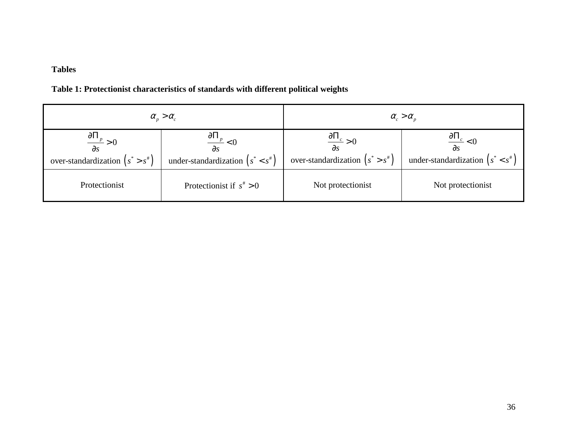# **Tables**

## **Table 1: Protectionist characteristics of standards with different political weights**

| $\alpha_{p} > \alpha_{c}$                                                     |                                                                                | $\alpha_{c} > \alpha_{p}$                                                     |                                                                               |
|-------------------------------------------------------------------------------|--------------------------------------------------------------------------------|-------------------------------------------------------------------------------|-------------------------------------------------------------------------------|
| $\frac{\partial \Pi_p}{\partial s} > 0$<br>over-standardization $(s^* > s^*)$ | $\frac{\partial \Pi_p}{\partial s} < 0$<br>under-standardization $(s^* < s^*)$ | $\frac{\partial \Pi_c}{\partial s} > 0$<br>over-standardization $(s^* > s^*)$ | $\frac{\partial\Pi_c}{\partial s} < 0$<br>under-standardization $(s^* < s^*)$ |
| Protectionist                                                                 | Protectionist if $s^* > 0$                                                     | Not protectionist                                                             | Not protectionist                                                             |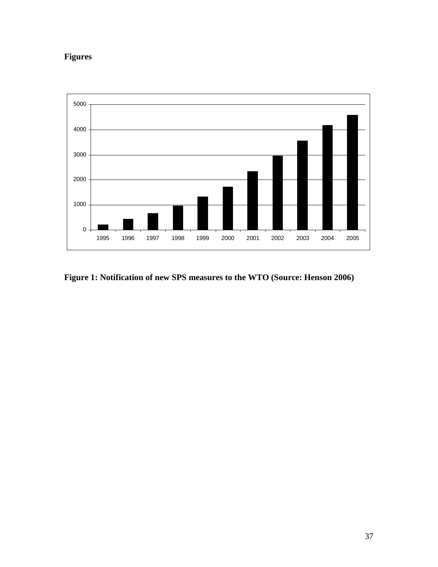# **Figures**



# **Figure 1: Notification of new SPS measures to the WTO (Source: Henson 2006)**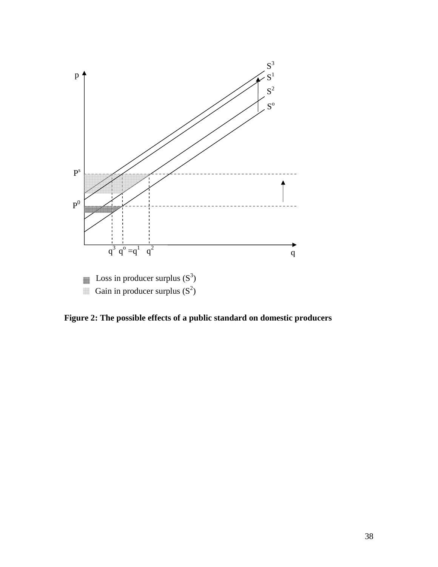

**Figure 2: The possible effects of a public standard on domestic producers**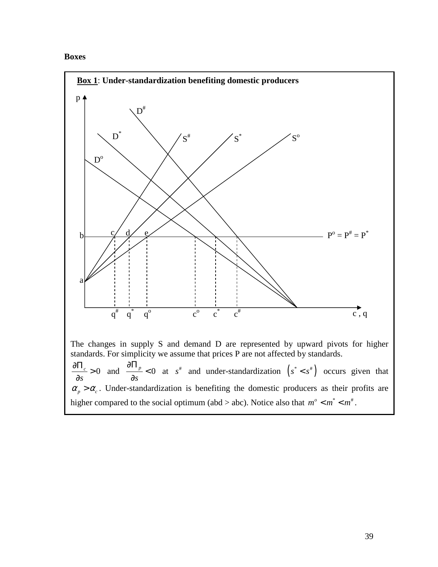## **Boxes**

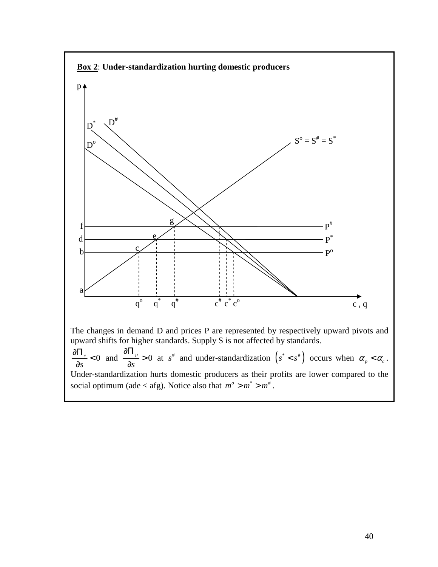

Under-standardization hurts domestic producers as their profits are lower compared to the social optimum (ade < afg). Notice also that  $m^{\circ} > m^* > m^*$ .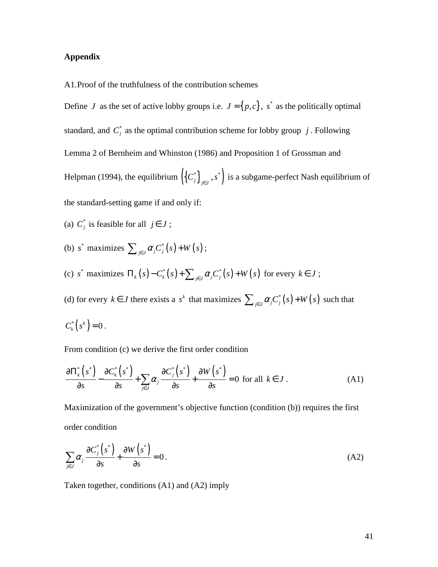### **Appendix**

A1.Proof of the truthfulness of the contribution schemes

Define *J* as the set of active lobby groups i.e.  $J = \{p, c\}$ ,  $s^*$  as the politically optimal standard, and  $C_j^*$  as the optimal contribution scheme for lobby group *j*. Following Lemma 2 of Bernheim and Whinston (1986) and Proposition 1 of Grossman and Helpman (1994), the equilibrium  $(\{C_j^*\}_{j \in J}, s^*)$  is a subgame-perfect Nash equilibrium of the standard-setting game if and only if:

- (a)  $C_j^*$  is feasible for all  $j \in J$ ;
- (b)  $s^*$  maximizes  $\sum_{i \in I} \alpha_i C_i^*(s) + W(s)$  $\sum_{j \in J} \alpha_j C_j^*(s) + W(s)$ ;
- (c)  $s^*$  maximizes  $\Pi_k(s) C_k^*(s) + \sum_{i \in \mathcal{I}} \alpha_i C_i^*(s) + W(s)$  $\Pi_k(s) - C_k^*(s) + \sum_{j \in J} \alpha_j C_j^*(s) + W(s)$  for every  $k \in J$ ;

(d) for every  $k \in J$  there exists a  $s^k$  that maximizes  $\sum_{i \in J} \alpha_i C_i^*(s) + W(s)$  $\sum_{j \in J} \alpha_j C_j^*(s) + W(s)$  such that

$$
C_k^*\left(s^k\right)=0\ .
$$

From condition (c) we derive the first order condition

$$
\frac{\partial \Pi_k^* \left( s^* \right)}{\partial s} - \frac{\partial C_k^* \left( s^* \right)}{\partial s} + \sum_{j \in J} \alpha_j \frac{\partial C_j^* \left( s^* \right)}{\partial s} + \frac{\partial W \left( s^* \right)}{\partial s} = 0 \text{ for all } k \in J. \tag{A1}
$$

Maximization of the government's objective function (condition (b)) requires the first order condition

$$
\sum_{j\in J} \alpha_j \frac{\partial C_j^*(s^*)}{\partial s} + \frac{\partial W(s^*)}{\partial s} = 0.
$$
 (A2)

Taken together, conditions (A1) and (A2) imply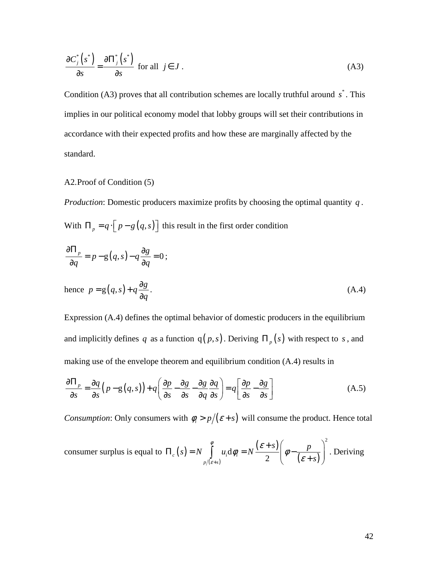$$
\frac{\partial C_j^*(s^*)}{\partial s} = \frac{\partial \Pi_j^*(s^*)}{\partial s} \text{ for all } j \in J.
$$
\n(A3)

Condition (A3) proves that all contribution schemes are locally truthful around  $s^*$ . This implies in our political economy model that lobby groups will set their contributions in accordance with their expected profits and how these are marginally affected by the standard.

### A2.Proof of Condition (5)

*Production*: Domestic producers maximize profits by choosing the optimal quantity *q* . With  $\Pi_p = q \cdot [p - g(q, s)]$  this result in the first order condition

$$
\frac{\partial \Pi_p}{\partial q} = p - g(q, s) - q \frac{\partial g}{\partial q} = 0;
$$
\nhence  $p = g(q, s) + q \frac{\partial g}{\partial q}$ . (A.4)

Expression (A.4) defines the optimal behavior of domestic producers in the equilibrium and implicitly defines *q* as a function  $q(p, s)$ . Deriving  $\Pi_p(s)$  with respect to *s*, and making use of the envelope theorem and equilibrium condition (A.4) results in

$$
\frac{\partial \Pi_p}{\partial s} = \frac{\partial q}{\partial s} \left( p - g(q, s) \right) + q \left( \frac{\partial p}{\partial s} - \frac{\partial g}{\partial s} - \frac{\partial g}{\partial q} \frac{\partial q}{\partial s} \right) = q \left[ \frac{\partial p}{\partial s} - \frac{\partial g}{\partial s} \right]
$$
(A.5)

*Consumption*: Only consumers with  $\phi_i > p/(\varepsilon + s)$  will consume the product. Hence total

$$
\text{ consumer surplus is equal to } \Pi_c(s) = N \int_{p/(e+s)}^{\phi} u_i \, \mathrm{d}\phi_i = N \frac{(e+s)}{2} \left( \phi - \frac{p}{(e+s)} \right)^2. \text{ Deriving}
$$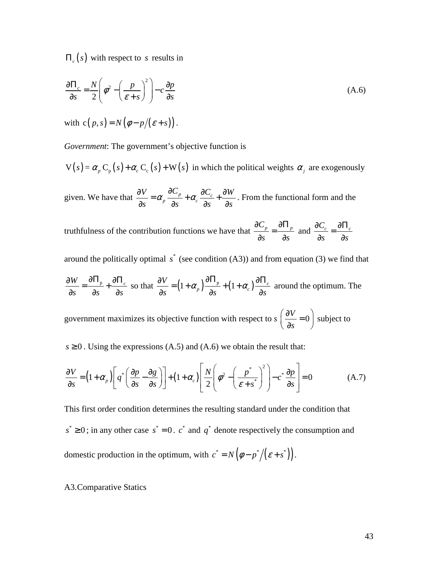Π*<sup>c</sup>* (*s*) with respect to *s* results in

$$
\frac{\partial \Pi_c}{\partial s} = \frac{N}{2} \left( \phi^2 - \left( \frac{p}{\varepsilon + s} \right)^2 \right) - c \frac{\partial p}{\partial s}
$$
(A.6)

with  $c(p, s) = N(\phi - p/(\varepsilon + s))$ .

*Government*: The government's objective function is

 $V(s) = \alpha_p C_p(s) + \alpha_c C_c(s) + W(s)$  in which the political weights  $\alpha_j$  are exogenously

given. We have that  $\frac{\partial V}{\partial r} = \alpha_p \frac{\partial C_p}{\partial r} + \alpha_c \frac{\partial C_c}{\partial r}$ *V*  $\partial C_p$   $\partial C_q$   $\partial W$  $s$   $\partial s$   $\partial s$   $\partial s$   $\partial s$  $\frac{\partial V}{\partial \rho} = \alpha_p \frac{\partial C_p}{\partial \rho} + \alpha_c \frac{\partial C_c}{\partial \rho} + \frac{\partial}{\partial \rho}$  $\partial s$   $\partial s$   $\partial s$   $\partial s$ . From the functional form and the

truthfulness of the contribution functions we have that  $\frac{\partial C_p}{\partial \rho} = \frac{\partial \Pi_p}{\partial \rho}$ *s s*  $\partial C_{_n}$   $\quad$   $\partial \Pi$ =  $\partial s$   $\partial$ and  $\frac{\partial C_c}{\partial r} = \frac{\partial \Pi_c}{\partial r}$ *s s*  $\frac{\partial C_c}{\partial \Sigma} = \frac{\partial \Pi}{\partial \Sigma}$ ∂ ∂

around the politically optimal  $s^*$  (see condition  $(A3)$ ) and from equation (3) we find that

 $W = \partial \Pi_{\mathfrak{p}} \mathop{\perp_{\!\!\!\!\! -}} \partial \Pi_c$ *s s s*  $\frac{\partial W}{\partial y} = \frac{\partial \Pi_{p}}{\partial y} + \frac{\partial \Pi_{p}}{\partial y}$  $rac{\partial V}{\partial s} = \frac{\partial \mathbf{\Pi}_{p}}{\partial s} + \frac{\partial \mathbf{\Pi}_{c}}{\partial s}$  so that  $\frac{\partial V}{\partial s} = \left(1 + \alpha_{p}\right) \frac{\partial \mathbf{\Pi}_{p}}{\partial s} + \left(1 + \alpha_{c}\right) \frac{\partial \mathbf{\Pi}_{c}}{\partial s}$ *V*  $s$   $\left( \begin{array}{ccc} s & s & s \end{array} \right)$   $\partial s$   $\left( \begin{array}{ccc} s & s & s \end{array} \right)$  $\frac{\partial V}{\partial \rho} = (1 + \alpha_p) \frac{\partial \Pi_p}{\partial \rho} + (1 + \alpha_p) \frac{\partial \Pi_p}{\partial \rho}$  $\partial s$   $\qquad \qquad \partial s$   $\qquad \qquad \partial s$ around the optimum. The

government maximizes its objective function with respect to  $s \left( \frac{\partial V}{\partial r} \right) = 0$ *s*  $\begin{pmatrix} \partial V & \Omega \end{pmatrix}$  $\left(\frac{\partial s}{\partial s} = 0\right)$ subject to

 $s \ge 0$ . Using the expressions (A.5) and (A.6) we obtain the result that:

$$
\frac{\partial V}{\partial s} = \left(1 + \alpha_p\right) \left[ q^* \left( \frac{\partial p}{\partial s} - \frac{\partial g}{\partial s} \right) \right] + \left(1 + \alpha_c\right) \left[ \frac{N}{2} \left( \phi^2 - \left( \frac{p^*}{\varepsilon + s^*} \right)^2 \right) - c^* \frac{\partial p}{\partial s} \right] = 0 \tag{A.7}
$$

This first order condition determines the resulting standard under the condition that  $s^* \geq 0$ ; in any other case  $s^* = 0$ .  $c^*$  and  $q^*$  denote respectively the consumption and domestic production in the optimum, with  $c^* = N(\phi - p^*/(\varepsilon + s^*))$ .

#### A3.Comparative Statics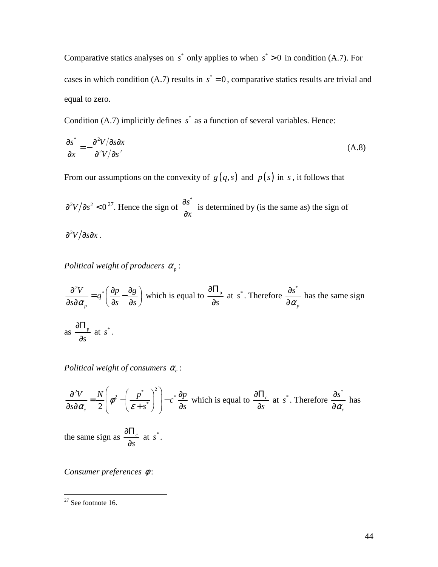Comparative statics analyses on  $s^*$  only applies to when  $s^* > 0$  in condition (A.7). For cases in which condition (A.7) results in  $s^* = 0$ , comparative statics results are trivial and equal to zero.

Condition (A.7) implicitly defines  $s^*$  as a function of several variables. Hence:

$$
\frac{\partial s^*}{\partial x} = -\frac{\partial^2 V / \partial s \partial x}{\partial^2 V / \partial s^2}
$$
 (A.8)

From our assumptions on the convexity of  $g(q, s)$  and  $p(s)$  in *s*, it follows that

 $\frac{\partial^2 V}{\partial s^2} < 0^{27}$ . Hence the sign of  $\frac{\partial s^*}{\partial s^2}$ *x* ∂ ∂ is determined by (is the same as) the sign of

 $\partial^2 V/\partial s \partial x$  .

*Political weight of producers*  $\alpha_p$ :

$$
\frac{\partial^2 V}{\partial s \partial \alpha_p} = q^* \left( \frac{\partial p}{\partial s} - \frac{\partial g}{\partial s} \right)
$$
 which is equal to  $\frac{\partial \Pi_p}{\partial s}$  at  $s^*$ . Therefore  $\frac{\partial s^*}{\partial \alpha_p}$  has the same sign as  $\frac{\partial \Pi_p}{\partial s}$  at  $s^*$ .

*Political weight of consumers α*<sub>c</sub>:

$$
\frac{\partial^2 V}{\partial s \partial \alpha_c} = \frac{N}{2} \left( \phi^2 - \left( \frac{p^*}{\varepsilon + s^*} \right)^2 \right) - c^* \frac{\partial p}{\partial s}
$$
 which is equal to  $\frac{\partial \Pi_c}{\partial s}$  at  $s^*$ . Therefore  $\frac{\partial s^*}{\partial \alpha_c}$  has

the same sign as  $\frac{0.11}{2}$ *s* ∂Π ∂ at  $s^*$ .

*Consumer preferences* φ :

 $\overline{a}$ 

 $27$  See footnote 16.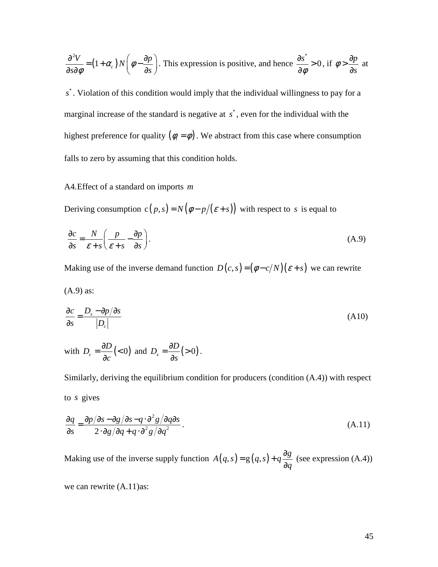$$
\frac{\partial^2 V}{\partial s \partial \phi} = (1 + \alpha_c) N \left( \phi - \frac{\partial p}{\partial s} \right).
$$
 This expression is positive, and hence  $\frac{\partial s^*}{\partial \phi} > 0$ , if  $\phi > \frac{\partial p}{\partial s}$  at

s<sup>\*</sup>. Violation of this condition would imply that the individual willingness to pay for a marginal increase of the standard is negative at  $s^*$ , even for the individual with the highest preference for quality  $(\phi_i = \phi)$ . We abstract from this case where consumption falls to zero by assuming that this condition holds.

## A4.Effect of a standard on imports *m*

Deriving consumption  $c(p, s) = N(\phi - p/(\varepsilon + s))$  with respect to *s* is equal to

$$
\frac{\partial c}{\partial s} = \frac{N}{\varepsilon + s} \left( \frac{p}{\varepsilon + s} - \frac{\partial p}{\partial s} \right). \tag{A.9}
$$

Making use of the inverse demand function  $D(c, s) = (\phi - c/N)(\varepsilon + s)$  we can rewrite

$$
(A.9) as:
$$

$$
\frac{\partial c}{\partial s} = \frac{D_s - \partial p/\partial s}{|D_c|} \tag{A10}
$$

with 
$$
D_c = \frac{\partial D}{\partial c}(o)
$$
 and  $D_s = \frac{\partial D}{\partial s}(o).$ 

Similarly, deriving the equilibrium condition for producers (condition (A.4)) with respect to *s* gives

$$
\frac{\partial q}{\partial s} = \frac{\partial p/\partial s - \partial g/\partial s - q \cdot \partial^2 g/\partial q \partial s}{2 \cdot \partial g/\partial q + q \cdot \partial^2 g/\partial q^2}.
$$
\n(A.11)

Making use of the inverse supply function  $A(q, s) = g(q, s) + q \frac{\partial g}{\partial x}$ *q*  $= g(q,s) + q \frac{\partial}{\partial s}$ ∂ (see expression (A.4))

we can rewrite (A.11)as: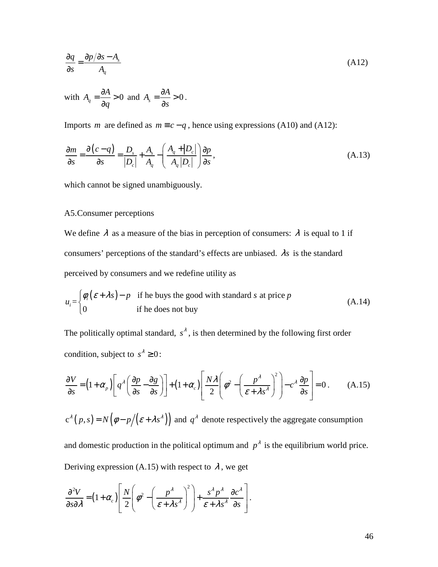$$
\frac{\partial q}{\partial s} = \frac{\partial p/\partial s - A_s}{A_q} \tag{A12}
$$

with 
$$
A_q = \frac{\partial A}{\partial q} > 0
$$
 and  $A_s = \frac{\partial A}{\partial s} > 0$ .

Imports *m* are defined as  $m \equiv c - q$ , hence using expressions (A10) and (A12):

$$
\frac{\partial m}{\partial s} = \frac{\partial (c - q)}{\partial s} = \frac{D_s}{|D_c|} + \frac{A_s}{A_q} - \left(\frac{A_q + |D_c|}{A_q |D_c|}\right) \frac{\partial p}{\partial s},\tag{A.13}
$$

which cannot be signed unambiguously.

## A5.Consumer perceptions

We define  $\lambda$  as a measure of the bias in perception of consumers:  $\lambda$  is equal to 1 if consumers' perceptions of the standard's effects are unbiased. λ*s* is the standard perceived by consumers and we redefine utility as

$$
u_i = \begin{cases} \phi_i(\varepsilon + \lambda s) - p & \text{if he buys the good with standard } s \text{ at price } p \\ 0 & \text{if he does not buy} \end{cases}
$$
 (A.14)

The politically optimal standard,  $s^{\lambda}$ , is then determined by the following first order condition, subject to  $s^{\lambda} \geq 0$ :

$$
\frac{\partial V}{\partial s} = \left(1 + \alpha_p\right) \left[ q^{\lambda} \left( \frac{\partial p}{\partial s} - \frac{\partial g}{\partial s} \right) \right] + \left(1 + \alpha_c\right) \left[ \frac{N\lambda}{2} \left( \phi^2 - \left( \frac{p^{\lambda}}{\varepsilon + \lambda s^{\lambda}} \right)^2 \right) - c^{\lambda} \frac{\partial p}{\partial s} \right] = 0. \tag{A.15}
$$

 $c^{\lambda}(p,s) = N(\phi - p/(\varepsilon + \lambda s^{\lambda}))$  and  $q^{\lambda}$  denote respectively the aggregate consumption

and domestic production in the political optimum and  $p^{\lambda}$  is the equilibrium world price. Deriving expression (A.15) with respect to  $\lambda$ , we get

$$
\frac{\partial^2 V}{\partial s \partial \lambda} = (1 + \alpha_c) \left[ \frac{N}{2} \left( \phi^2 - \left( \frac{p^{\lambda}}{\varepsilon + \lambda s^{\lambda}} \right)^2 \right) + \frac{s^{\lambda} p^{\lambda}}{\varepsilon + \lambda s^{\lambda}} \frac{\partial c^{\lambda}}{\partial s} \right].
$$